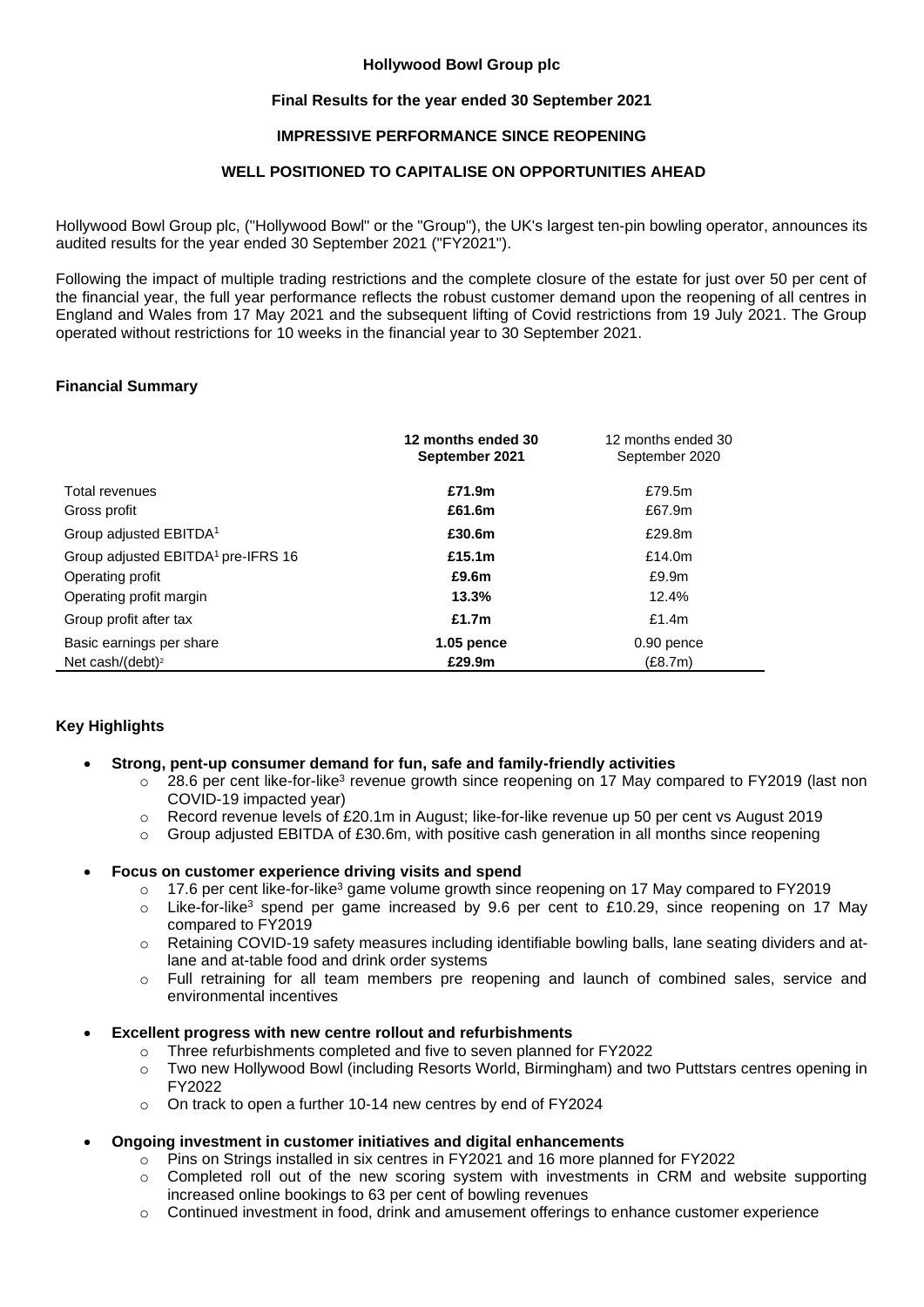# **Hollywood Bowl Group plc**

# **Final Results for the year ended 30 September 2021**

# **IMPRESSIVE PERFORMANCE SINCE REOPENING**

# **WELL POSITIONED TO CAPITALISE ON OPPORTUNITIES AHEAD**

Hollywood Bowl Group plc, ("Hollywood Bowl" or the "Group"), the UK's largest ten-pin bowling operator, announces its audited results for the year ended 30 September 2021 ("FY2021").

Following the impact of multiple trading restrictions and the complete closure of the estate for just over 50 per cent of the financial year, the full year performance reflects the robust customer demand upon the reopening of all centres in England and Wales from 17 May 2021 and the subsequent lifting of Covid restrictions from 19 July 2021. The Group operated without restrictions for 10 weeks in the financial year to 30 September 2021.

# **Financial Summary**

|                                                | 12 months ended 30<br>September 2021 | 12 months ended 30<br>September 2020 |
|------------------------------------------------|--------------------------------------|--------------------------------------|
| Total revenues                                 | £71.9m                               | £79.5m                               |
| Gross profit                                   | £61.6m                               | £67.9m                               |
| Group adjusted EBITDA <sup>1</sup>             | £30.6m                               | £29.8m                               |
| Group adjusted EBITDA <sup>1</sup> pre-IFRS 16 | £15.1m                               | £14.0 $m$                            |
| Operating profit                               | £9.6m                                | £9.9m                                |
| Operating profit margin                        | 13.3%                                | 12.4%                                |
| Group profit after tax                         | £1.7 $m$                             | £1.4 $m$                             |
| Basic earnings per share                       | $1.05$ pence                         | 0.90 pence                           |
| Net cash/(debt) <sup>2</sup>                   | £29.9m                               | (E8.7m)                              |

# **Key Highlights**

- **Strong, pent-up consumer demand for fun, safe and family-friendly activities** 
	- $\circ$  28.6 per cent like-for-like<sup>3</sup> revenue growth since reopening on 17 May compared to FY2019 (last non COVID-19 impacted year)
	- o Record revenue levels of £20.1m in August; like-for-like revenue up 50 per cent vs August 2019
	- $\circ$  Group adjusted EBITDA of £30.6m, with positive cash generation in all months since reopening

# • **Focus on customer experience driving visits and spend**

- $\circ$  17.6 per cent like-for-like<sup>3</sup> game volume growth since reopening on 17 May compared to FY2019
- o Like-for-like<sup>3</sup> spend per game increased by 9.6 per cent to £10.29, since reopening on 17 May compared to FY2019
- o Retaining COVID-19 safety measures including identifiable bowling balls, lane seating dividers and atlane and at-table food and drink order systems
- o Full retraining for all team members pre reopening and launch of combined sales, service and environmental incentives

# • **Excellent progress with new centre rollout and refurbishments**

- o Three refurbishments completed and five to seven planned for FY2022
	- o Two new Hollywood Bowl (including Resorts World, Birmingham) and two Puttstars centres opening in FY2022
	- o On track to open a further 10-14 new centres by end of FY2024
- **Ongoing investment in customer initiatives and digital enhancements** 
	- $\circ$  Pins on Strings installed in six centres in FY2021 and 16 more planned for FY2022
	- $\circ$  Completed roll out of the new scoring system with investments in CRM and website supporting increased online bookings to 63 per cent of bowling revenues
	- o Continued investment in food, drink and amusement offerings to enhance customer experience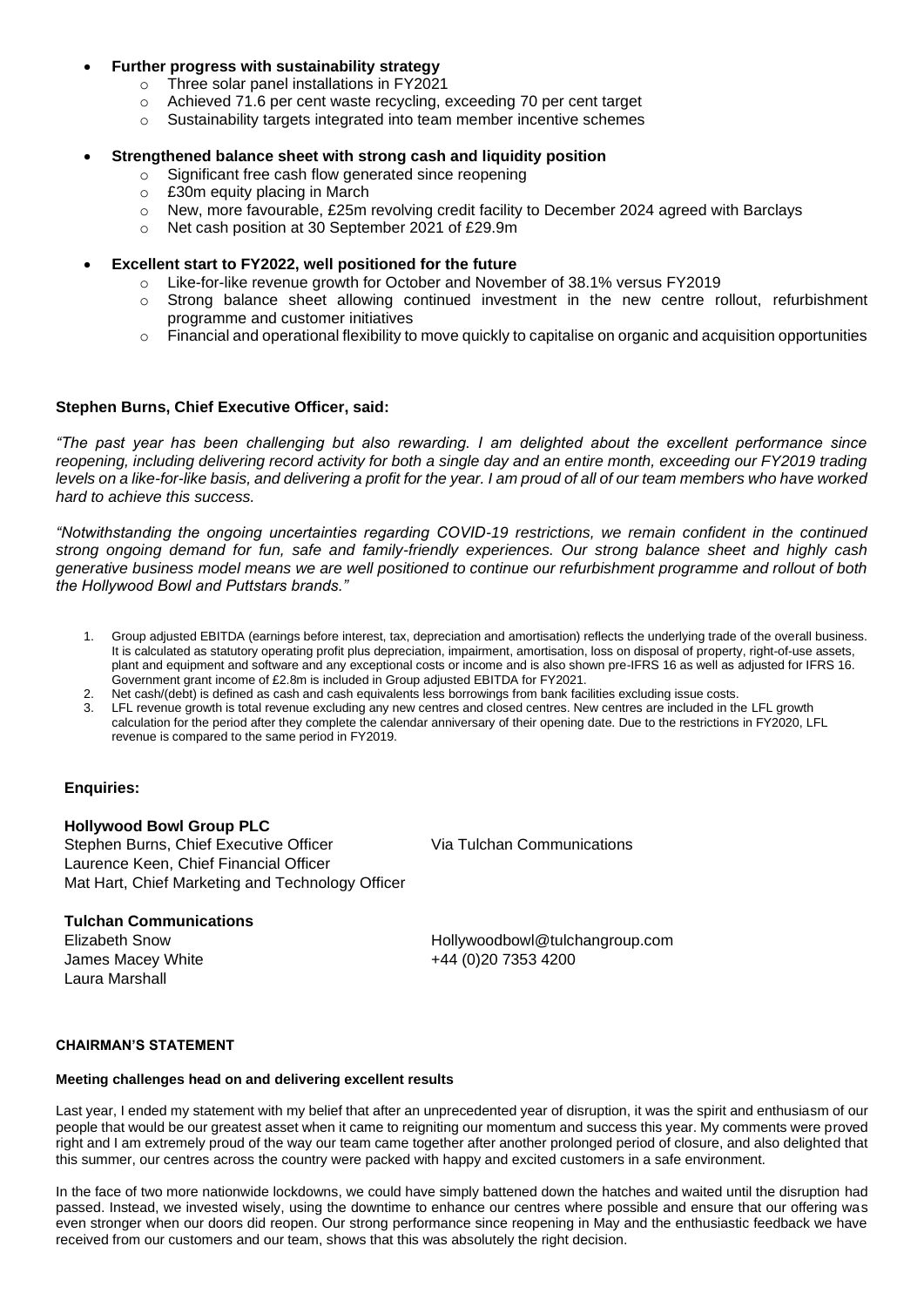# • **Further progress with sustainability strategy**

- o Three solar panel installations in FY2021
- o Achieved 71.6 per cent waste recycling, exceeding 70 per cent target
- o Sustainability targets integrated into team member incentive schemes

# • **Strengthened balance sheet with strong cash and liquidity position**

- o Significant free cash flow generated since reopening
- o £30m equity placing in March
- o New, more favourable, £25m revolving credit facility to December 2024 agreed with Barclays
- o Net cash position at 30 September 2021 of £29.9m
- **Excellent start to FY2022, well positioned for the future** 
	- o Like-for-like revenue growth for October and November of 38.1% versus FY2019
	- $\circ$  Strong balance sheet allowing continued investment in the new centre rollout, refurbishment programme and customer initiatives
	- $\circ$  Financial and operational flexibility to move quickly to capitalise on organic and acquisition opportunities

# **Stephen Burns, Chief Executive Officer, said:**

*"The past year has been challenging but also rewarding. I am delighted about the excellent performance since reopening, including delivering record activity for both a single day and an entire month, exceeding our FY2019 trading levels on a like-for-like basis, and delivering a profit for the year. I am proud of all of our team members who have worked hard to achieve this success.* 

*"Notwithstanding the ongoing uncertainties regarding COVID-19 restrictions, we remain confident in the continued strong ongoing demand for fun, safe and family-friendly experiences. Our strong balance sheet and highly cash generative business model means we are well positioned to continue our refurbishment programme and rollout of both the Hollywood Bowl and Puttstars brands."* 

- 1. Group adjusted EBITDA (earnings before interest, tax, depreciation and amortisation) reflects the underlying trade of the overall business. It is calculated as statutory operating profit plus depreciation, impairment, amortisation, loss on disposal of property, right-of-use assets, plant and equipment and software and any exceptional costs or income and is also shown pre-IFRS 16 as well as adjusted for IFRS 16. Government grant income of £2.8m is included in Group adjusted EBITDA for FY2021.
- 2. Net cash/(debt) is defined as cash and cash equivalents less borrowings from bank facilities excluding issue costs.
- LFL revenue growth is total revenue excluding any new centres and closed centres. New centres are included in the LFL growth calculation for the period after they complete the calendar anniversary of their opening date. Due to the restrictions in FY2020, LFL revenue is compared to the same period in FY2019.

# **Enquiries:**

# **Hollywood Bowl Group PLC**

Stephen Burns, Chief Executive Officer Laurence Keen, Chief Financial Officer Mat Hart, Chief Marketing and Technology Officer Via Tulchan Communications

# **Tulchan Communications**

James Macey White  $+44 (0)20 7353 4200$ Laura Marshall

Elizabeth Snow Hollywoodbowl@tulchangroup.com

# **CHAIRMAN'S STATEMENT**

# **Meeting challenges head on and delivering excellent results**

Last year, I ended my statement with my belief that after an unprecedented year of disruption, it was the spirit and enthusiasm of our people that would be our greatest asset when it came to reigniting our momentum and success this year. My comments were proved right and I am extremely proud of the way our team came together after another prolonged period of closure, and also delighted that this summer, our centres across the country were packed with happy and excited customers in a safe environment.

In the face of two more nationwide lockdowns, we could have simply battened down the hatches and waited until the disruption had passed. Instead, we invested wisely, using the downtime to enhance our centres where possible and ensure that our offering was even stronger when our doors did reopen. Our strong performance since reopening in May and the enthusiastic feedback we have received from our customers and our team, shows that this was absolutely the right decision.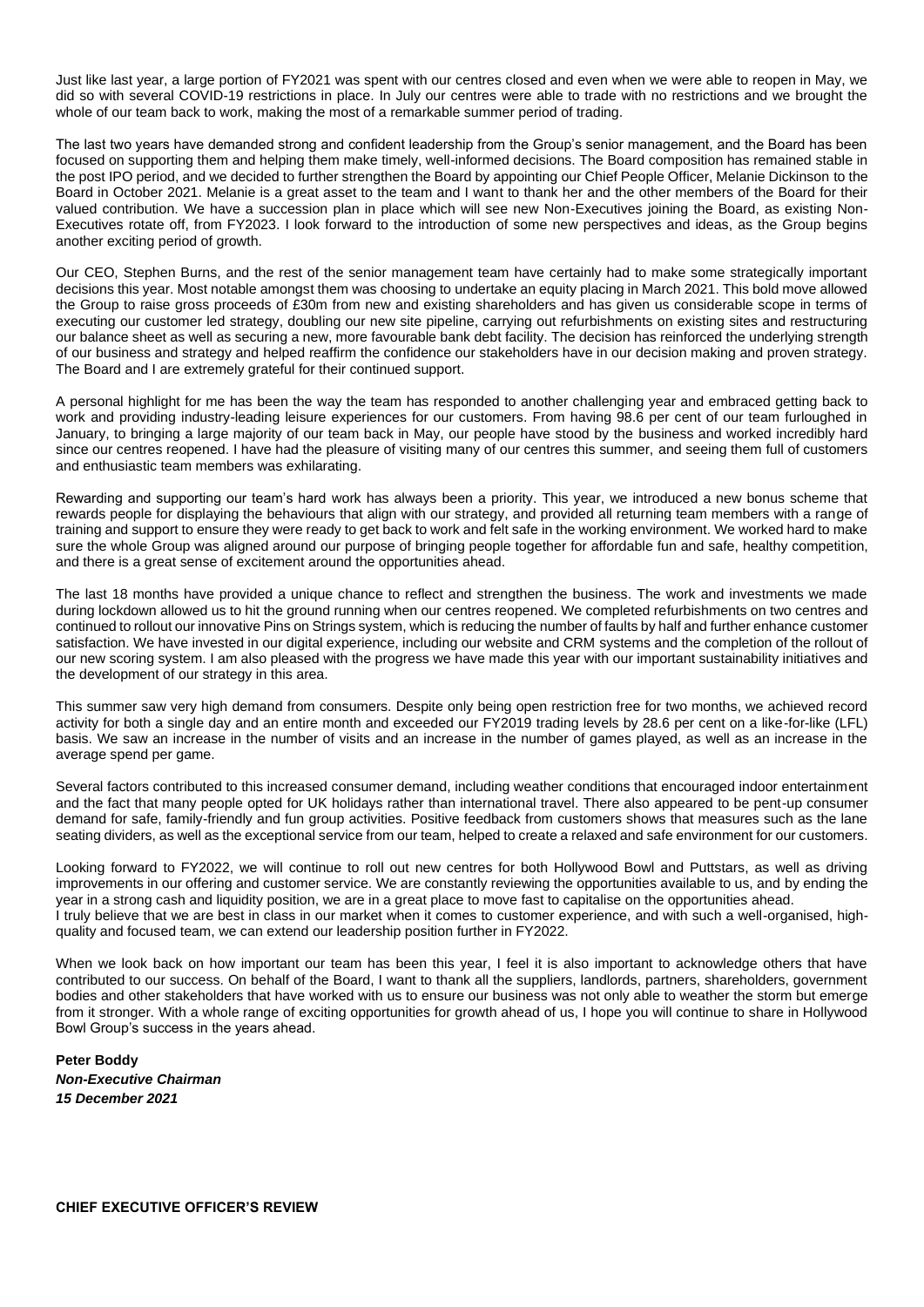Just like last year, a large portion of FY2021 was spent with our centres closed and even when we were able to reopen in May, we did so with several COVID-19 restrictions in place. In July our centres were able to trade with no restrictions and we brought the whole of our team back to work, making the most of a remarkable summer period of trading.

The last two years have demanded strong and confident leadership from the Group's senior management, and the Board has been focused on supporting them and helping them make timely, well-informed decisions. The Board composition has remained stable in the post IPO period, and we decided to further strengthen the Board by appointing our Chief People Officer, Melanie Dickinson to the Board in October 2021. Melanie is a great asset to the team and I want to thank her and the other members of the Board for their valued contribution. We have a succession plan in place which will see new Non-Executives joining the Board, as existing Non-Executives rotate off, from FY2023. I look forward to the introduction of some new perspectives and ideas, as the Group begins another exciting period of growth.

Our CEO, Stephen Burns, and the rest of the senior management team have certainly had to make some strategically important decisions this year. Most notable amongst them was choosing to undertake an equity placing in March 2021. This bold move allowed the Group to raise gross proceeds of £30m from new and existing shareholders and has given us considerable scope in terms of executing our customer led strategy, doubling our new site pipeline, carrying out refurbishments on existing sites and restructuring our balance sheet as well as securing a new, more favourable bank debt facility. The decision has reinforced the underlying strength of our business and strategy and helped reaffirm the confidence our stakeholders have in our decision making and proven strategy. The Board and I are extremely grateful for their continued support.

A personal highlight for me has been the way the team has responded to another challenging year and embraced getting back to work and providing industry-leading leisure experiences for our customers. From having 98.6 per cent of our team furloughed in January, to bringing a large majority of our team back in May, our people have stood by the business and worked incredibly hard since our centres reopened. I have had the pleasure of visiting many of our centres this summer, and seeing them full of customers and enthusiastic team members was exhilarating.

Rewarding and supporting our team's hard work has always been a priority. This year, we introduced a new bonus scheme that rewards people for displaying the behaviours that align with our strategy, and provided all returning team members with a range of training and support to ensure they were ready to get back to work and felt safe in the working environment. We worked hard to make sure the whole Group was aligned around our purpose of bringing people together for affordable fun and safe, healthy competition, and there is a great sense of excitement around the opportunities ahead.

The last 18 months have provided a unique chance to reflect and strengthen the business. The work and investments we made during lockdown allowed us to hit the ground running when our centres reopened. We completed refurbishments on two centres and continued to rollout our innovative Pins on Strings system, which is reducing the number of faults by half and further enhance customer satisfaction. We have invested in our digital experience, including our website and CRM systems and the completion of the rollout of our new scoring system. I am also pleased with the progress we have made this year with our important sustainability initiatives and the development of our strategy in this area.

This summer saw very high demand from consumers. Despite only being open restriction free for two months, we achieved record activity for both a single day and an entire month and exceeded our FY2019 trading levels by 28.6 per cent on a like-for-like (LFL) basis. We saw an increase in the number of visits and an increase in the number of games played, as well as an increase in the average spend per game.

Several factors contributed to this increased consumer demand, including weather conditions that encouraged indoor entertainment and the fact that many people opted for UK holidays rather than international travel. There also appeared to be pent-up consumer demand for safe, family-friendly and fun group activities. Positive feedback from customers shows that measures such as the lane seating dividers, as well as the exceptional service from our team, helped to create a relaxed and safe environment for our customers.

Looking forward to FY2022, we will continue to roll out new centres for both Hollywood Bowl and Puttstars, as well as driving improvements in our offering and customer service. We are constantly reviewing the opportunities available to us, and by ending the year in a strong cash and liquidity position, we are in a great place to move fast to capitalise on the opportunities ahead. I truly believe that we are best in class in our market when it comes to customer experience, and with such a well-organised, highquality and focused team, we can extend our leadership position further in FY2022.

When we look back on how important our team has been this year, I feel it is also important to acknowledge others that have contributed to our success. On behalf of the Board, I want to thank all the suppliers, landlords, partners, shareholders, government bodies and other stakeholders that have worked with us to ensure our business was not only able to weather the storm but emerge from it stronger. With a whole range of exciting opportunities for growth ahead of us, I hope you will continue to share in Hollywood Bowl Group's success in the years ahead.

**Peter Boddy** *Non-Executive Chairman 15 December 2021*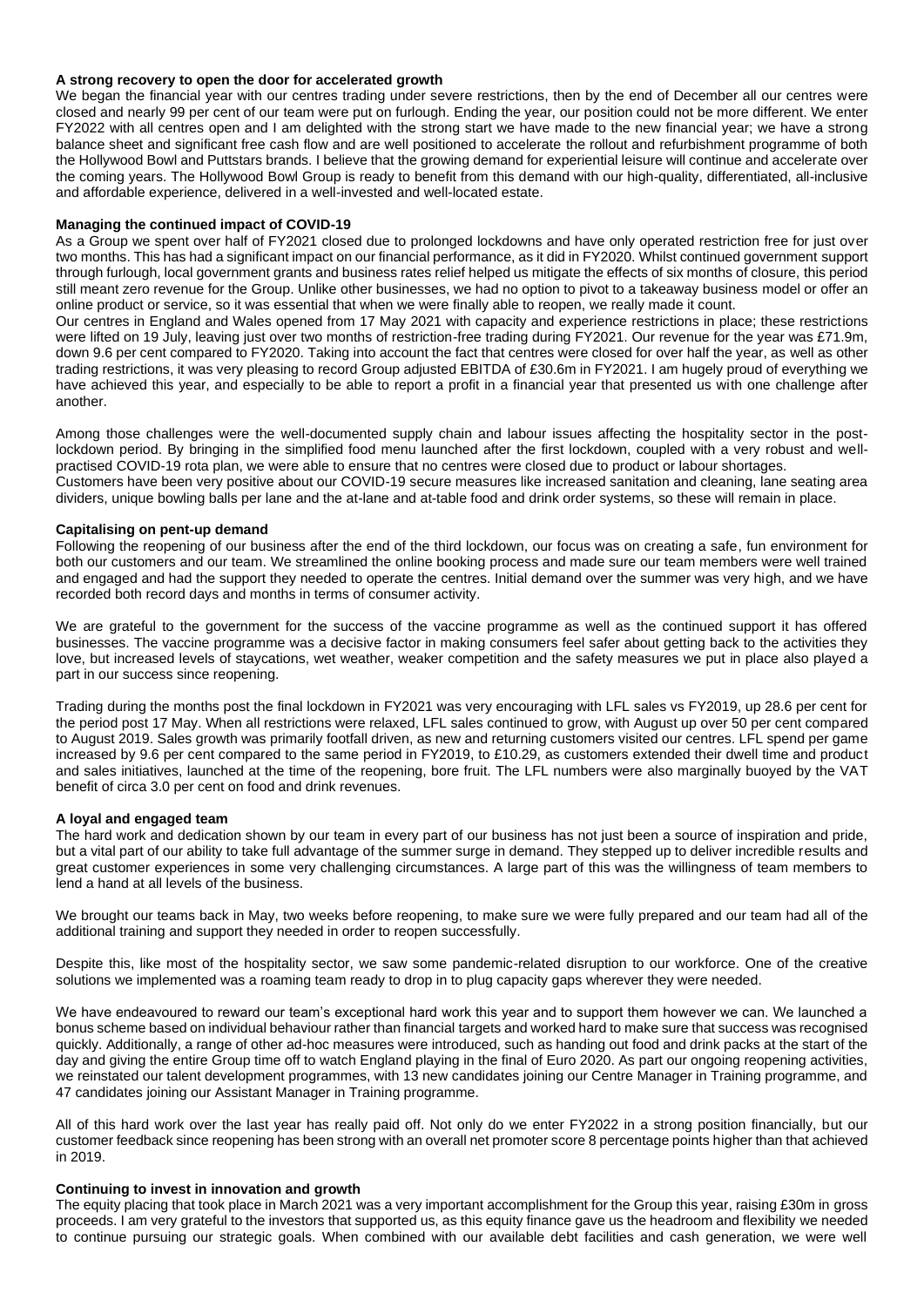### **A strong recovery to open the door for accelerated growth**

We began the financial year with our centres trading under severe restrictions, then by the end of December all our centres were closed and nearly 99 per cent of our team were put on furlough. Ending the year, our position could not be more different. We enter FY2022 with all centres open and I am delighted with the strong start we have made to the new financial year; we have a strong balance sheet and significant free cash flow and are well positioned to accelerate the rollout and refurbishment programme of both the Hollywood Bowl and Puttstars brands. I believe that the growing demand for experiential leisure will continue and accelerate over the coming years. The Hollywood Bowl Group is ready to benefit from this demand with our high-quality, differentiated, all-inclusive and affordable experience, delivered in a well-invested and well-located estate.

#### **Managing the continued impact of COVID-19**

As a Group we spent over half of FY2021 closed due to prolonged lockdowns and have only operated restriction free for just over two months. This has had a significant impact on our financial performance, as it did in FY2020. Whilst continued government support through furlough, local government grants and business rates relief helped us mitigate the effects of six months of closure, this period still meant zero revenue for the Group. Unlike other businesses, we had no option to pivot to a takeaway business model or offer an online product or service, so it was essential that when we were finally able to reopen, we really made it count.

Our centres in England and Wales opened from 17 May 2021 with capacity and experience restrictions in place; these restrictions were lifted on 19 July, leaving just over two months of restriction-free trading during FY2021. Our revenue for the year was £71.9m, down 9.6 per cent compared to FY2020. Taking into account the fact that centres were closed for over half the year, as well as other trading restrictions, it was very pleasing to record Group adjusted EBITDA of £30.6m in FY2021. I am hugely proud of everything we have achieved this year, and especially to be able to report a profit in a financial year that presented us with one challenge after another.

Among those challenges were the well-documented supply chain and labour issues affecting the hospitality sector in the postlockdown period. By bringing in the simplified food menu launched after the first lockdown, coupled with a very robust and wellpractised COVID-19 rota plan, we were able to ensure that no centres were closed due to product or labour shortages. Customers have been very positive about our COVID-19 secure measures like increased sanitation and cleaning, lane seating area dividers, unique bowling balls per lane and the at-lane and at-table food and drink order systems, so these will remain in place.

### **Capitalising on pent-up demand**

Following the reopening of our business after the end of the third lockdown, our focus was on creating a safe, fun environment for both our customers and our team. We streamlined the online booking process and made sure our team members were well trained and engaged and had the support they needed to operate the centres. Initial demand over the summer was very high, and we have recorded both record days and months in terms of consumer activity.

We are grateful to the government for the success of the vaccine programme as well as the continued support it has offered businesses. The vaccine programme was a decisive factor in making consumers feel safer about getting back to the activities they love, but increased levels of staycations, wet weather, weaker competition and the safety measures we put in place also played a part in our success since reopening.

Trading during the months post the final lockdown in FY2021 was very encouraging with LFL sales vs FY2019, up 28.6 per cent for the period post 17 May. When all restrictions were relaxed, LFL sales continued to grow, with August up over 50 per cent compared to August 2019. Sales growth was primarily footfall driven, as new and returning customers visited our centres. LFL spend per game increased by 9.6 per cent compared to the same period in FY2019, to £10.29, as customers extended their dwell time and product and sales initiatives, launched at the time of the reopening, bore fruit. The LFL numbers were also marginally buoyed by the VAT benefit of circa 3.0 per cent on food and drink revenues.

#### **A loyal and engaged team**

The hard work and dedication shown by our team in every part of our business has not just been a source of inspiration and pride, but a vital part of our ability to take full advantage of the summer surge in demand. They stepped up to deliver incredible results and great customer experiences in some very challenging circumstances. A large part of this was the willingness of team members to lend a hand at all levels of the business.

We brought our teams back in May, two weeks before reopening, to make sure we were fully prepared and our team had all of the additional training and support they needed in order to reopen successfully.

Despite this, like most of the hospitality sector, we saw some pandemic-related disruption to our workforce. One of the creative solutions we implemented was a roaming team ready to drop in to plug capacity gaps wherever they were needed.

We have endeavoured to reward our team's exceptional hard work this year and to support them however we can. We launched a bonus scheme based on individual behaviour rather than financial targets and worked hard to make sure that success was recognised quickly. Additionally, a range of other ad-hoc measures were introduced, such as handing out food and drink packs at the start of the day and giving the entire Group time off to watch England playing in the final of Euro 2020. As part our ongoing reopening activities, we reinstated our talent development programmes, with 13 new candidates joining our Centre Manager in Training programme, and 47 candidates joining our Assistant Manager in Training programme.

All of this hard work over the last year has really paid off. Not only do we enter FY2022 in a strong position financially, but our customer feedback since reopening has been strong with an overall net promoter score 8 percentage points higher than that achieved in 2019.

### **Continuing to invest in innovation and growth**

The equity placing that took place in March 2021 was a very important accomplishment for the Group this year, raising £30m in gross proceeds. I am very grateful to the investors that supported us, as this equity finance gave us the headroom and flexibility we needed to continue pursuing our strategic goals. When combined with our available debt facilities and cash generation, we were well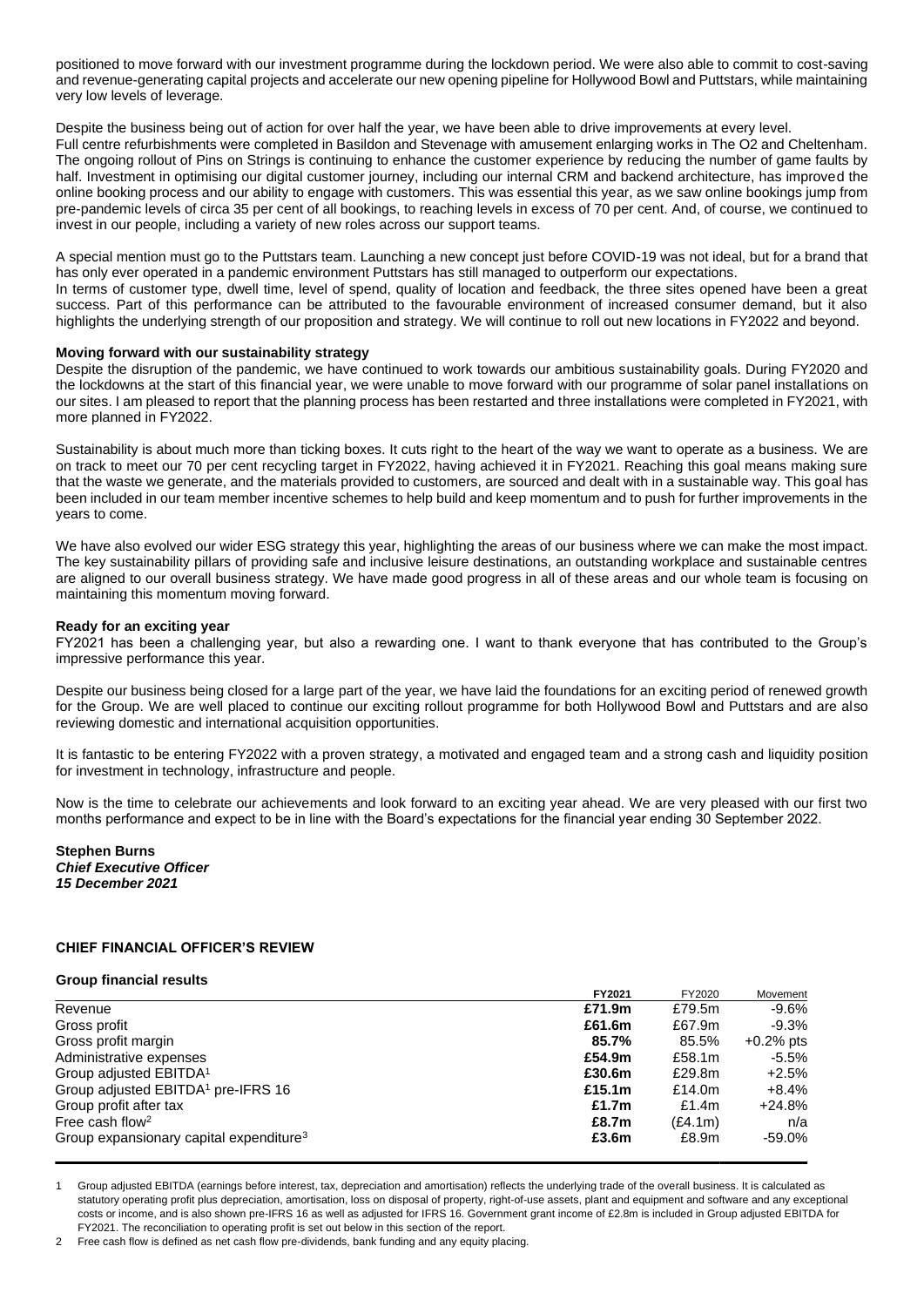positioned to move forward with our investment programme during the lockdown period. We were also able to commit to cost-saving and revenue-generating capital projects and accelerate our new opening pipeline for Hollywood Bowl and Puttstars, while maintaining very low levels of leverage.

Despite the business being out of action for over half the year, we have been able to drive improvements at every level.

Full centre refurbishments were completed in Basildon and Stevenage with amusement enlarging works in The O2 and Cheltenham. The ongoing rollout of Pins on Strings is continuing to enhance the customer experience by reducing the number of game faults by half. Investment in optimising our digital customer journey, including our internal CRM and backend architecture, has improved the online booking process and our ability to engage with customers. This was essential this year, as we saw online bookings jump from pre-pandemic levels of circa 35 per cent of all bookings, to reaching levels in excess of 70 per cent. And, of course, we continued to invest in our people, including a variety of new roles across our support teams.

A special mention must go to the Puttstars team. Launching a new concept just before COVID-19 was not ideal, but for a brand that has only ever operated in a pandemic environment Puttstars has still managed to outperform our expectations. In terms of customer type, dwell time, level of spend, quality of location and feedback, the three sites opened have been a great success. Part of this performance can be attributed to the favourable environment of increased consumer demand, but it also highlights the underlying strength of our proposition and strategy. We will continue to roll out new locations in FY2022 and beyond.

## **Moving forward with our sustainability strategy**

Despite the disruption of the pandemic, we have continued to work towards our ambitious sustainability goals. During FY2020 and the lockdowns at the start of this financial year, we were unable to move forward with our programme of solar panel installations on our sites. I am pleased to report that the planning process has been restarted and three installations were completed in FY2021, with more planned in FY2022.

Sustainability is about much more than ticking boxes. It cuts right to the heart of the way we want to operate as a business. We are on track to meet our 70 per cent recycling target in FY2022, having achieved it in FY2021. Reaching this goal means making sure that the waste we generate, and the materials provided to customers, are sourced and dealt with in a sustainable way. This goal has been included in our team member incentive schemes to help build and keep momentum and to push for further improvements in the years to come.

We have also evolved our wider ESG strategy this year, highlighting the areas of our business where we can make the most impact. The key sustainability pillars of providing safe and inclusive leisure destinations, an outstanding workplace and sustainable centres are aligned to our overall business strategy. We have made good progress in all of these areas and our whole team is focusing on maintaining this momentum moving forward.

### **Ready for an exciting year**

FY2021 has been a challenging year, but also a rewarding one. I want to thank everyone that has contributed to the Group's impressive performance this year.

Despite our business being closed for a large part of the year, we have laid the foundations for an exciting period of renewed growth for the Group. We are well placed to continue our exciting rollout programme for both Hollywood Bowl and Puttstars and are also reviewing domestic and international acquisition opportunities.

It is fantastic to be entering FY2022 with a proven strategy, a motivated and engaged team and a strong cash and liquidity position for investment in technology, infrastructure and people.

Now is the time to celebrate our achievements and look forward to an exciting year ahead. We are very pleased with our first two months performance and expect to be in line with the Board's expectations for the financial year ending 30 September 2022.

**Stephen Burns**  *Chief Executive Officer 15 December 2021*

# **CHIEF FINANCIAL OFFICER'S REVIEW**

#### **Group financial results**

|                                                     | FY2021    | FY2020    | Movement    |
|-----------------------------------------------------|-----------|-----------|-------------|
| Revenue                                             | £71.9m    | £79.5m    | $-9.6\%$    |
| Gross profit                                        | £61.6m    | £67.9m    | $-9.3\%$    |
| Gross profit margin                                 | 85.7%     | 85.5%     | $+0.2%$ pts |
| Administrative expenses                             | £54.9m    | £58.1m    | -5.5%       |
| Group adjusted EBITDA <sup>1</sup>                  | £30.6m    | £29.8m    | $+2.5%$     |
| Group adjusted EBITDA <sup>1</sup> pre-IFRS 16      | £15.1 $m$ | £14.0 $m$ | $+8.4\%$    |
| Group profit after tax                              | £1.7 $m$  | £1.4 $m$  | +24.8%      |
| Free cash flow <sup>2</sup>                         | £8.7m     | (E4.1m)   | n/a         |
| Group expansionary capital expenditure <sup>3</sup> | £3.6m     | £8.9m     | -59.0%      |
|                                                     |           |           |             |

1 Group adjusted EBITDA (earnings before interest, tax, depreciation and amortisation) reflects the underlying trade of the overall business. It is calculated as statutory operating profit plus depreciation, amortisation, loss on disposal of property, right-of-use assets, plant and equipment and software and any exceptional costs or income, and is also shown pre-IFRS 16 as well as adjusted for IFRS 16. Government grant income of £2.8m is included in Group adjusted EBITDA for FY2021. The reconciliation to operating profit is set out below in this section of the report.

Free cash flow is defined as net cash flow pre-dividends, bank funding and any equity placing.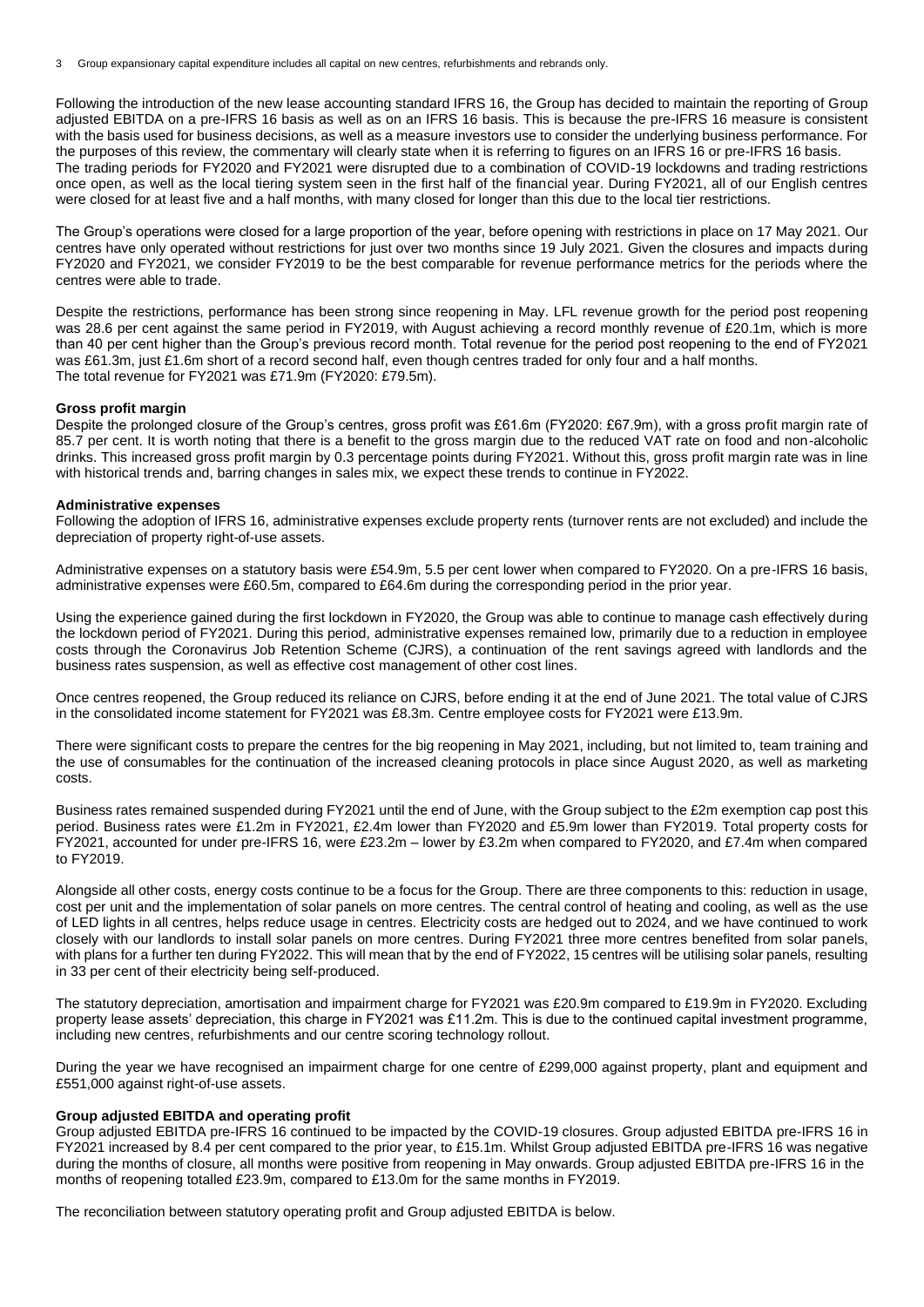Following the introduction of the new lease accounting standard IFRS 16, the Group has decided to maintain the reporting of Group adjusted EBITDA on a pre-IFRS 16 basis as well as on an IFRS 16 basis. This is because the pre-IFRS 16 measure is consistent with the basis used for business decisions, as well as a measure investors use to consider the underlying business performance. For the purposes of this review, the commentary will clearly state when it is referring to figures on an IFRS 16 or pre-IFRS 16 basis. The trading periods for FY2020 and FY2021 were disrupted due to a combination of COVID-19 lockdowns and trading restrictions once open, as well as the local tiering system seen in the first half of the financial year. During FY2021, all of our English centres were closed for at least five and a half months, with many closed for longer than this due to the local tier restrictions.

The Group's operations were closed for a large proportion of the year, before opening with restrictions in place on 17 May 2021. Our centres have only operated without restrictions for just over two months since 19 July 2021. Given the closures and impacts during FY2020 and FY2021, we consider FY2019 to be the best comparable for revenue performance metrics for the periods where the centres were able to trade.

Despite the restrictions, performance has been strong since reopening in May. LFL revenue growth for the period post reopening was 28.6 per cent against the same period in FY2019, with August achieving a record monthly revenue of £20.1m, which is more than 40 per cent higher than the Group's previous record month. Total revenue for the period post reopening to the end of FY2021 was £61.3m, just £1.6m short of a record second half, even though centres traded for only four and a half months. The total revenue for FY2021 was £71.9m (FY2020: £79.5m).

#### **Gross profit margin**

Despite the prolonged closure of the Group's centres, gross profit was £61.6m (FY2020: £67.9m), with a gross profit margin rate of 85.7 per cent. It is worth noting that there is a benefit to the gross margin due to the reduced VAT rate on food and non-alcoholic drinks. This increased gross profit margin by 0.3 percentage points during FY2021. Without this, gross profit margin rate was in line with historical trends and, barring changes in sales mix, we expect these trends to continue in FY2022.

#### **Administrative expenses**

Following the adoption of IFRS 16, administrative expenses exclude property rents (turnover rents are not excluded) and include the depreciation of property right-of-use assets.

Administrative expenses on a statutory basis were £54.9m, 5.5 per cent lower when compared to FY2020. On a pre-IFRS 16 basis, administrative expenses were £60.5m, compared to £64.6m during the corresponding period in the prior year.

Using the experience gained during the first lockdown in FY2020, the Group was able to continue to manage cash effectively during the lockdown period of FY2021. During this period, administrative expenses remained low, primarily due to a reduction in employee costs through the Coronavirus Job Retention Scheme (CJRS), a continuation of the rent savings agreed with landlords and the business rates suspension, as well as effective cost management of other cost lines.

Once centres reopened, the Group reduced its reliance on CJRS, before ending it at the end of June 2021. The total value of CJRS in the consolidated income statement for FY2021 was £8.3m. Centre employee costs for FY2021 were £13.9m.

There were significant costs to prepare the centres for the big reopening in May 2021, including, but not limited to, team training and the use of consumables for the continuation of the increased cleaning protocols in place since August 2020, as well as marketing costs.

Business rates remained suspended during FY2021 until the end of June, with the Group subject to the £2m exemption cap post this period. Business rates were £1.2m in FY2021, £2.4m lower than FY2020 and £5.9m lower than FY2019. Total property costs for FY2021, accounted for under pre-IFRS 16, were £23.2m – lower by £3.2m when compared to FY2020, and £7.4m when compared to FY2019.

Alongside all other costs, energy costs continue to be a focus for the Group. There are three components to this: reduction in usage, cost per unit and the implementation of solar panels on more centres. The central control of heating and cooling, as well as the use of LED lights in all centres, helps reduce usage in centres. Electricity costs are hedged out to 2024, and we have continued to work closely with our landlords to install solar panels on more centres. During FY2021 three more centres benefited from solar panels, with plans for a further ten during FY2022. This will mean that by the end of FY2022, 15 centres will be utilising solar panels, resulting in 33 per cent of their electricity being self-produced.

The statutory depreciation, amortisation and impairment charge for FY2021 was £20.9m compared to £19.9m in FY2020. Excluding property lease assets' depreciation, this charge in FY2021 was £11.2m. This is due to the continued capital investment programme, including new centres, refurbishments and our centre scoring technology rollout.

During the year we have recognised an impairment charge for one centre of £299,000 against property, plant and equipment and £551,000 against right-of-use assets.

# **Group adjusted EBITDA and operating profit**

Group adjusted EBITDA pre-IFRS 16 continued to be impacted by the COVID-19 closures. Group adjusted EBITDA pre-IFRS 16 in FY2021 increased by 8.4 per cent compared to the prior year, to £15.1m. Whilst Group adjusted EBITDA pre-IFRS 16 was negative during the months of closure, all months were positive from reopening in May onwards. Group adjusted EBITDA pre-IFRS 16 in the months of reopening totalled £23.9m, compared to £13.0m for the same months in FY2019.

The reconciliation between statutory operating profit and Group adjusted EBITDA is below.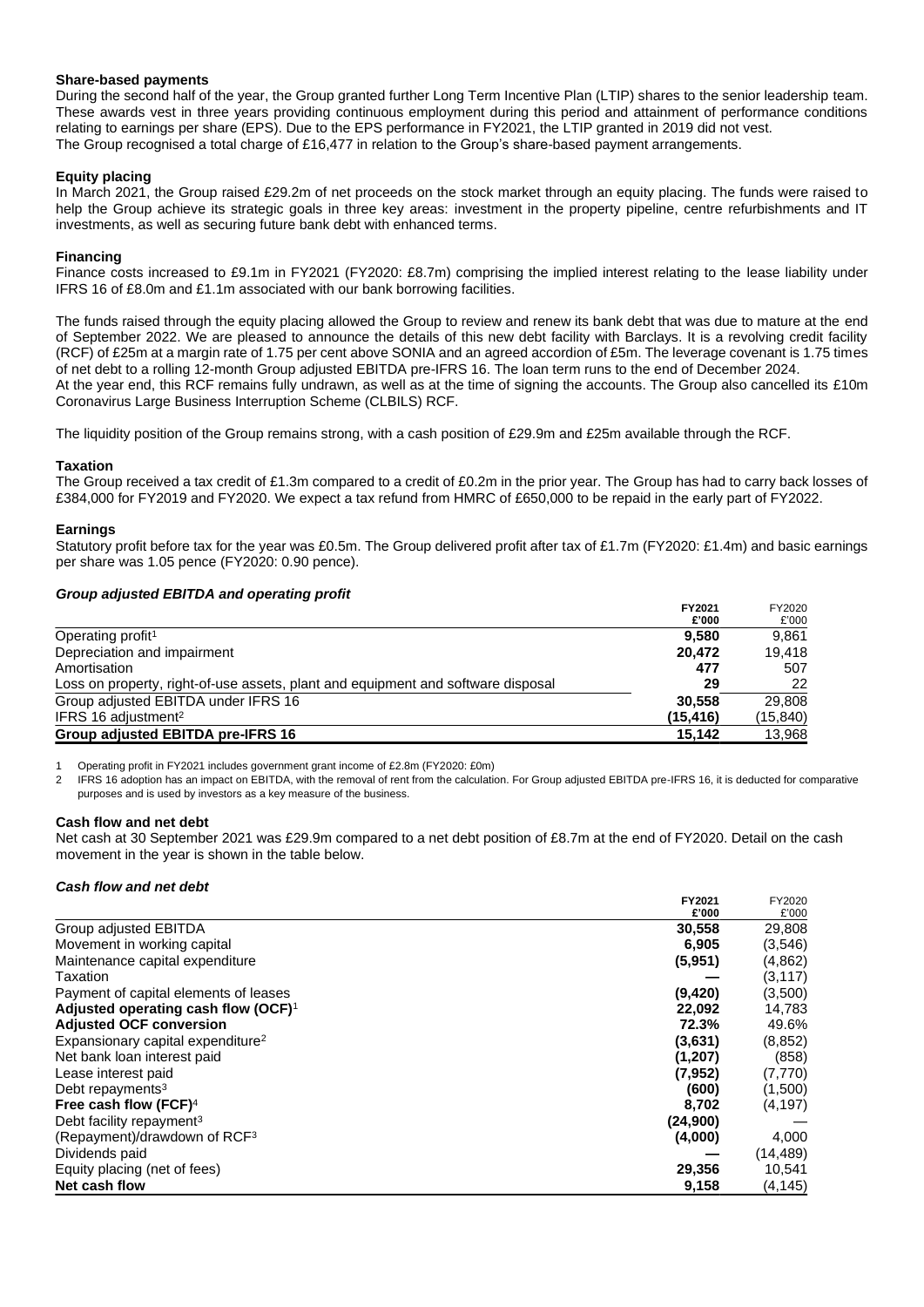# **Share-based payments**

During the second half of the year, the Group granted further Long Term Incentive Plan (LTIP) shares to the senior leadership team. These awards vest in three years providing continuous employment during this period and attainment of performance conditions relating to earnings per share (EPS). Due to the EPS performance in FY2021, the LTIP granted in 2019 did not vest. The Group recognised a total charge of £16,477 in relation to the Group's share-based payment arrangements.

# **Equity placing**

In March 2021, the Group raised £29.2m of net proceeds on the stock market through an equity placing. The funds were raised to help the Group achieve its strategic goals in three key areas: investment in the property pipeline, centre refurbishments and IT investments, as well as securing future bank debt with enhanced terms.

# **Financing**

Finance costs increased to £9.1m in FY2021 (FY2020: £8.7m) comprising the implied interest relating to the lease liability under IFRS 16 of £8.0m and £1.1m associated with our bank borrowing facilities.

The funds raised through the equity placing allowed the Group to review and renew its bank debt that was due to mature at the end of September 2022. We are pleased to announce the details of this new debt facility with Barclays. It is a revolving credit facility (RCF) of £25m at a margin rate of 1.75 per cent above SONIA and an agreed accordion of £5m. The leverage covenant is 1.75 times of net debt to a rolling 12-month Group adjusted EBITDA pre-IFRS 16. The loan term runs to the end of December 2024. At the year end, this RCF remains fully undrawn, as well as at the time of signing the accounts. The Group also cancelled its £10m Coronavirus Large Business Interruption Scheme (CLBILS) RCF.

The liquidity position of the Group remains strong, with a cash position of £29.9m and £25m available through the RCF.

## **Taxation**

The Group received a tax credit of £1.3m compared to a credit of £0.2m in the prior year. The Group has had to carry back losses of £384,000 for FY2019 and FY2020. We expect a tax refund from HMRC of £650,000 to be repaid in the early part of FY2022.

## **Earnings**

Statutory profit before tax for the year was £0.5m. The Group delivered profit after tax of £1.7m (FY2020: £1.4m) and basic earnings per share was 1.05 pence (FY2020: 0.90 pence).

## *Group adjusted EBITDA and operating profit*

|                                                                                  | FY2021    | FY2020   |
|----------------------------------------------------------------------------------|-----------|----------|
|                                                                                  | £'000     | £'000    |
| Operating profit <sup>1</sup>                                                    | 9.580     | 9.861    |
| Depreciation and impairment                                                      | 20.472    | 19.418   |
| Amortisation                                                                     | 477       | 507      |
| Loss on property, right-of-use assets, plant and equipment and software disposal | 29        | 22       |
| Group adjusted EBITDA under IFRS 16                                              | 30.558    | 29.808   |
| IFRS 16 adjustment <sup>2</sup>                                                  | (15, 416) | (15,840) |
| Group adjusted EBITDA pre-IFRS 16                                                | 15.142    | 13,968   |

1 Operating profit in FY2021 includes government grant income of £2.8m (FY2020: £0m)

2 IFRS 16 adoption has an impact on EBITDA, with the removal of rent from the calculation. For Group adjusted EBITDA pre-IFRS 16, it is deducted for comparative purposes and is used by investors as a key measure of the business.

# **Cash flow and net debt**

Net cash at 30 September 2021 was £29.9m compared to a net debt position of £8.7m at the end of FY2020. Detail on the cash movement in the year is shown in the table below.

## *Cash flow and net debt*

|                                                 | FY2021   | FY2020   |
|-------------------------------------------------|----------|----------|
|                                                 | £'000    | £'000    |
| Group adjusted EBITDA                           | 30,558   | 29,808   |
| Movement in working capital                     | 6,905    | (3,546)  |
| Maintenance capital expenditure                 | (5,951)  | (4,862)  |
| Taxation                                        |          | (3, 117) |
| Payment of capital elements of leases           | (9, 420) | (3,500)  |
| Adjusted operating cash flow (OCF) <sup>1</sup> | 22,092   | 14,783   |
| <b>Adjusted OCF conversion</b>                  | 72.3%    | 49.6%    |
| Expansionary capital expenditure <sup>2</sup>   | (3,631)  | (8, 852) |
| Net bank loan interest paid                     | (1,207)  | (858)    |
| Lease interest paid                             | (7,952)  | (7,770)  |
| Debt repayments <sup>3</sup>                    | (600)    | (1,500)  |
| Free cash flow (FCF) $4$                        | 8,702    | (4, 197) |
| Debt facility repayment <sup>3</sup>            | (24,900) |          |
| (Repayment)/drawdown of RCF <sup>3</sup>        | (4,000)  | 4,000    |
| Dividends paid                                  |          | (14,489) |
| Equity placing (net of fees)                    | 29,356   | 10,541   |
| Net cash flow                                   | 9,158    | (4, 145) |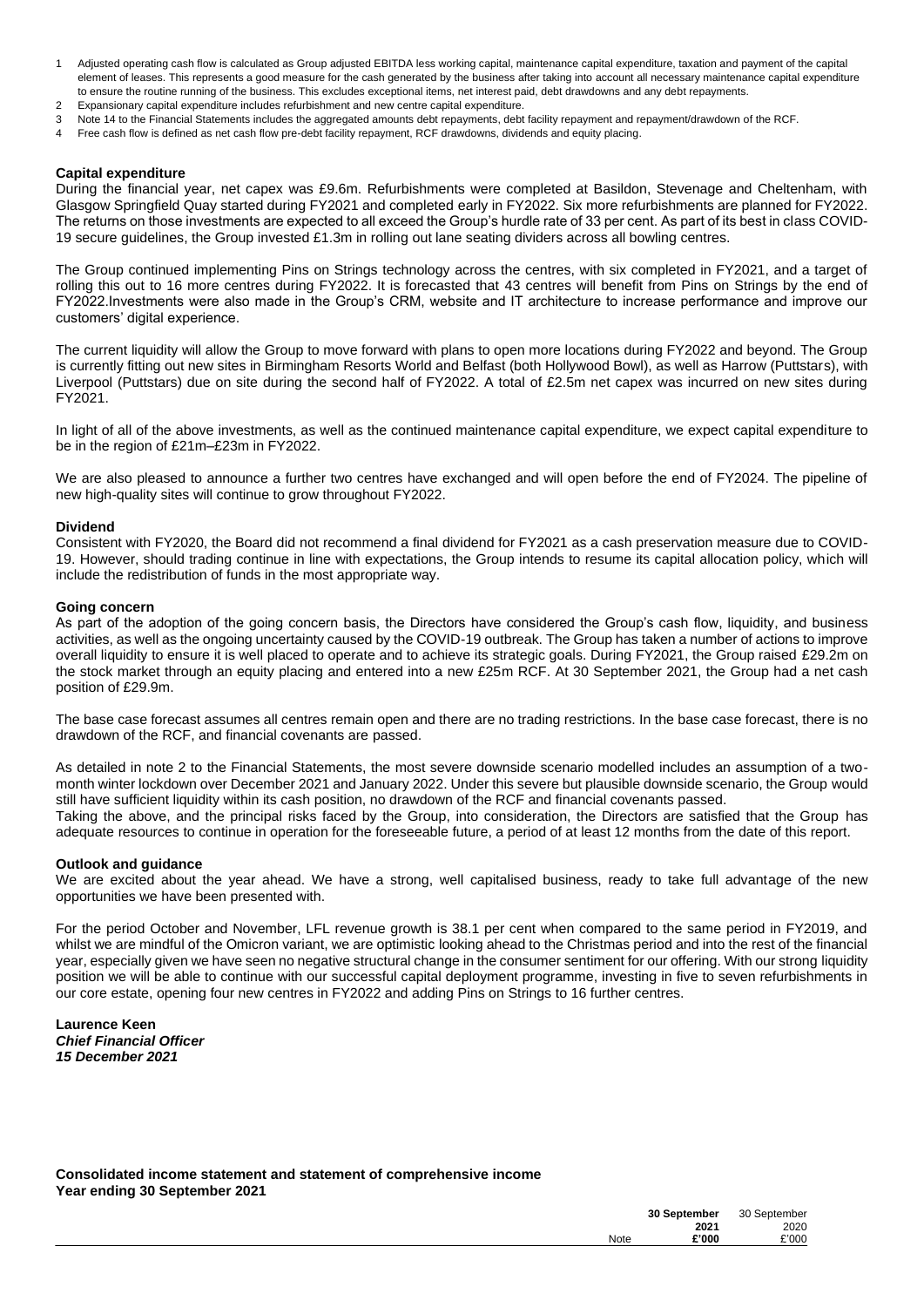- 1 Adjusted operating cash flow is calculated as Group adjusted EBITDA less working capital, maintenance capital expenditure, taxation and payment of the capital element of leases. This represents a good measure for the cash generated by the business after taking into account all necessary maintenance capital expenditure to ensure the routine running of the business. This excludes exceptional items, net interest paid, debt drawdowns and any debt repayments.
- 2 Expansionary capital expenditure includes refurbishment and new centre capital expenditure.
- 3 Note 14 to the Financial Statements includes the aggregated amounts debt repayments, debt facility repayment and repayment/drawdown of the RCF.
- 4 Free cash flow is defined as net cash flow pre-debt facility repayment, RCF drawdowns, dividends and equity placing.

### **Capital expenditure**

During the financial year, net capex was £9.6m. Refurbishments were completed at Basildon, Stevenage and Cheltenham, with Glasgow Springfield Quay started during FY2021 and completed early in FY2022. Six more refurbishments are planned for FY2022. The returns on those investments are expected to all exceed the Group's hurdle rate of 33 per cent. As part of its best in class COVID-19 secure guidelines, the Group invested £1.3m in rolling out lane seating dividers across all bowling centres.

The Group continued implementing Pins on Strings technology across the centres, with six completed in FY2021, and a target of rolling this out to 16 more centres during FY2022. It is forecasted that 43 centres will benefit from Pins on Strings by the end of FY2022.Investments were also made in the Group's CRM, website and IT architecture to increase performance and improve our customers' digital experience.

The current liquidity will allow the Group to move forward with plans to open more locations during FY2022 and beyond. The Group is currently fitting out new sites in Birmingham Resorts World and Belfast (both Hollywood Bowl), as well as Harrow (Puttstars), with Liverpool (Puttstars) due on site during the second half of FY2022. A total of £2.5m net capex was incurred on new sites during FY2021.

In light of all of the above investments, as well as the continued maintenance capital expenditure, we expect capital expenditure to be in the region of £21m–£23m in FY2022.

We are also pleased to announce a further two centres have exchanged and will open before the end of FY2024. The pipeline of new high-quality sites will continue to grow throughout FY2022.

#### **Dividend**

Consistent with FY2020, the Board did not recommend a final dividend for FY2021 as a cash preservation measure due to COVID-19. However, should trading continue in line with expectations, the Group intends to resume its capital allocation policy, which will include the redistribution of funds in the most appropriate way.

#### **Going concern**

As part of the adoption of the going concern basis, the Directors have considered the Group's cash flow, liquidity, and business activities, as well as the ongoing uncertainty caused by the COVID-19 outbreak. The Group has taken a number of actions to improve overall liquidity to ensure it is well placed to operate and to achieve its strategic goals. During FY2021, the Group raised £29.2m on the stock market through an equity placing and entered into a new £25m RCF. At 30 September 2021, the Group had a net cash position of £29.9m.

The base case forecast assumes all centres remain open and there are no trading restrictions. In the base case forecast, there is no drawdown of the RCF, and financial covenants are passed.

As detailed in note 2 to the Financial Statements, the most severe downside scenario modelled includes an assumption of a twomonth winter lockdown over December 2021 and January 2022. Under this severe but plausible downside scenario, the Group would still have sufficient liquidity within its cash position, no drawdown of the RCF and financial covenants passed. Taking the above, and the principal risks faced by the Group, into consideration, the Directors are satisfied that the Group has adequate resources to continue in operation for the foreseeable future, a period of at least 12 months from the date of this report.

#### **Outlook and guidance**

We are excited about the year ahead. We have a strong, well capitalised business, ready to take full advantage of the new opportunities we have been presented with.

For the period October and November, LFL revenue growth is 38.1 per cent when compared to the same period in FY2019, and whilst we are mindful of the Omicron variant, we are optimistic looking ahead to the Christmas period and into the rest of the financial year, especially given we have seen no negative structural change in the consumer sentiment for our offering. With our strong liquidity position we will be able to continue with our successful capital deployment programme, investing in five to seven refurbishments in our core estate, opening four new centres in FY2022 and adding Pins on Strings to 16 further centres.

**Laurence Keen** *Chief Financial Officer 15 December 2021*

**Consolidated income statement and statement of comprehensive income Year ending 30 September 2021**

|      | 30 September | 30 September |
|------|--------------|--------------|
|      | 2021         | 2020         |
| Note | £'000        | £'000        |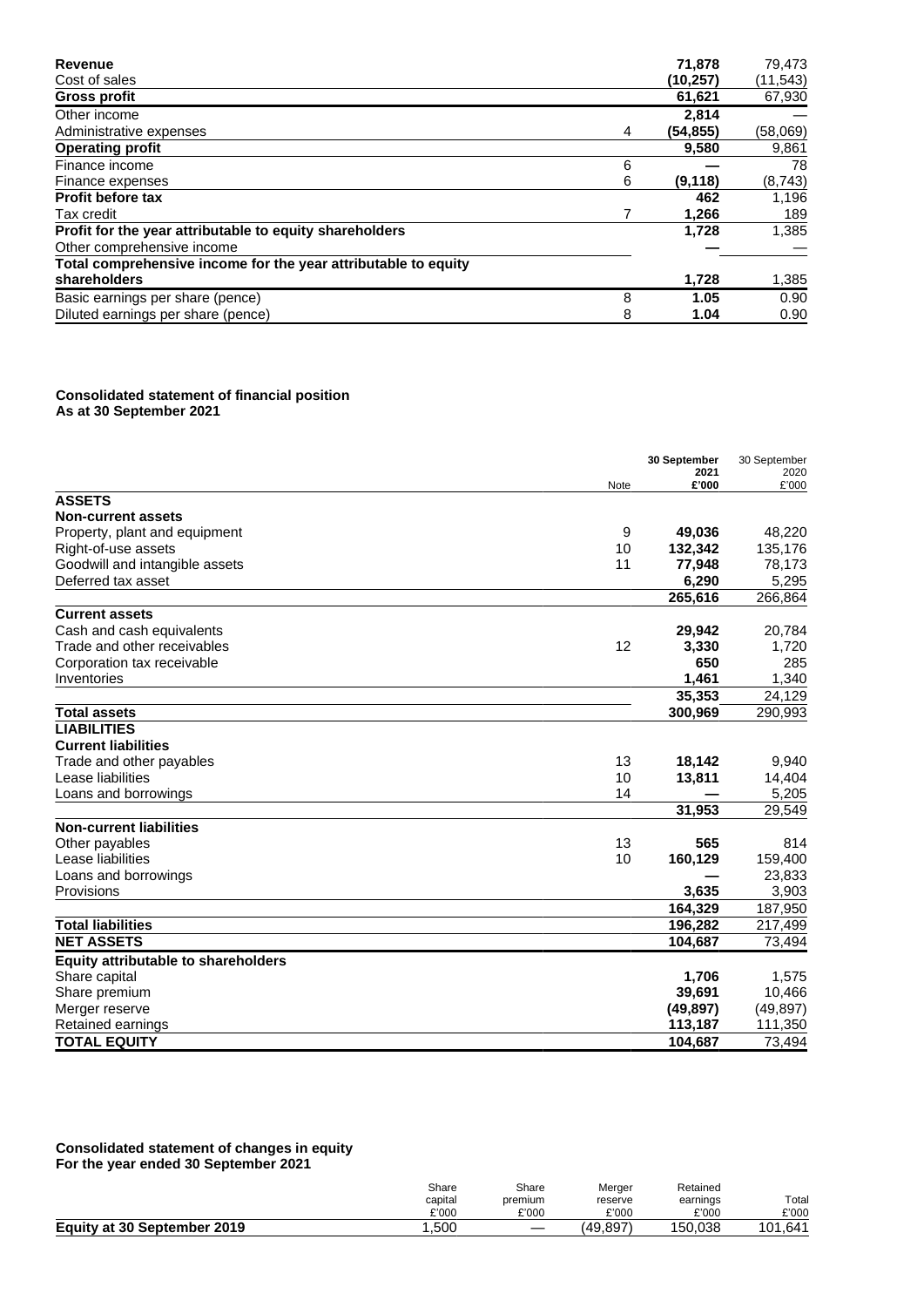| Revenue                                                        |   | 71,878    | 79,473    |
|----------------------------------------------------------------|---|-----------|-----------|
| Cost of sales                                                  |   | (10, 257) | (11, 543) |
| <b>Gross profit</b>                                            |   | 61,621    | 67,930    |
| Other income                                                   |   | 2.814     |           |
| Administrative expenses                                        | 4 | (54, 855) | (58,069)  |
| <b>Operating profit</b>                                        |   | 9,580     | 9,861     |
| Finance income                                                 | 6 |           | 78        |
| Finance expenses                                               | 6 | (9, 118)  | (8, 743)  |
| <b>Profit before tax</b>                                       |   | 462       | 1,196     |
| Tax credit                                                     |   | 1,266     | 189       |
| Profit for the year attributable to equity shareholders        |   | 1,728     | 1,385     |
| Other comprehensive income                                     |   |           |           |
| Total comprehensive income for the year attributable to equity |   |           |           |
| shareholders                                                   |   | 1,728     | 1,385     |
| Basic earnings per share (pence)                               | 8 | 1.05      | 0.90      |
| Diluted earnings per share (pence)                             | 8 | 1.04      | 0.90      |

#### **Consolidated statement of financial position As at 30 September 2021**

|                                            |      | 30 September  | 30 September  |
|--------------------------------------------|------|---------------|---------------|
|                                            | Note | 2021<br>£'000 | 2020<br>£'000 |
| <b>ASSETS</b>                              |      |               |               |
| <b>Non-current assets</b>                  |      |               |               |
| Property, plant and equipment              | 9    | 49,036        | 48,220        |
| Right-of-use assets                        | 10   | 132,342       | 135,176       |
| Goodwill and intangible assets             | 11   | 77,948        | 78,173        |
| Deferred tax asset                         |      | 6,290         | 5,295         |
|                                            |      | 265,616       | 266,864       |
| <b>Current assets</b>                      |      |               |               |
| Cash and cash equivalents                  |      | 29,942        | 20,784        |
| Trade and other receivables                | 12   | 3,330         | 1,720         |
| Corporation tax receivable                 |      | 650           | 285           |
| Inventories                                |      | 1,461         | 1,340         |
|                                            |      | 35,353        | 24,129        |
| <b>Total assets</b>                        |      | 300,969       | 290,993       |
| <b>LIABILITIES</b>                         |      |               |               |
| <b>Current liabilities</b>                 |      |               |               |
| Trade and other payables                   | 13   | 18,142        | 9,940         |
| Lease liabilities                          | 10   | 13,811        | 14,404        |
| Loans and borrowings                       | 14   |               | 5,205         |
|                                            |      | 31,953        | 29,549        |
| <b>Non-current liabilities</b>             |      |               |               |
| Other payables                             | 13   | 565           | 814           |
| Lease liabilities                          | 10   | 160,129       | 159,400       |
| Loans and borrowings                       |      |               | 23,833        |
| Provisions                                 |      | 3,635         | 3,903         |
|                                            |      | 164,329       | 187,950       |
| <b>Total liabilities</b>                   |      | 196,282       | 217,499       |
| <b>NET ASSETS</b>                          |      | 104,687       | 73,494        |
| <b>Equity attributable to shareholders</b> |      |               |               |
| Share capital                              |      | 1,706         | 1,575         |
| Share premium                              |      | 39,691        | 10,466        |
| Merger reserve                             |      | (49, 897)     | (49, 897)     |
| Retained earnings                          |      | 113,187       | 111,350       |
| <b>TOTAL EQUITY</b>                        |      | 104,687       | 73,494        |

#### **Consolidated statement of changes in equity For the year ended 30 September 2021**

|                             | Share<br>capital<br>£'000 | Share<br>premium<br>£'000 | Merger<br>reserve<br>£'000 | Retained<br>earnings<br>£'000 | Total<br>£'000 |
|-----------------------------|---------------------------|---------------------------|----------------------------|-------------------------------|----------------|
| Equity at 30 September 2019 | .500                      | $\hspace{0.05cm}$         | (49.897)                   | 150.038                       | .641<br>101    |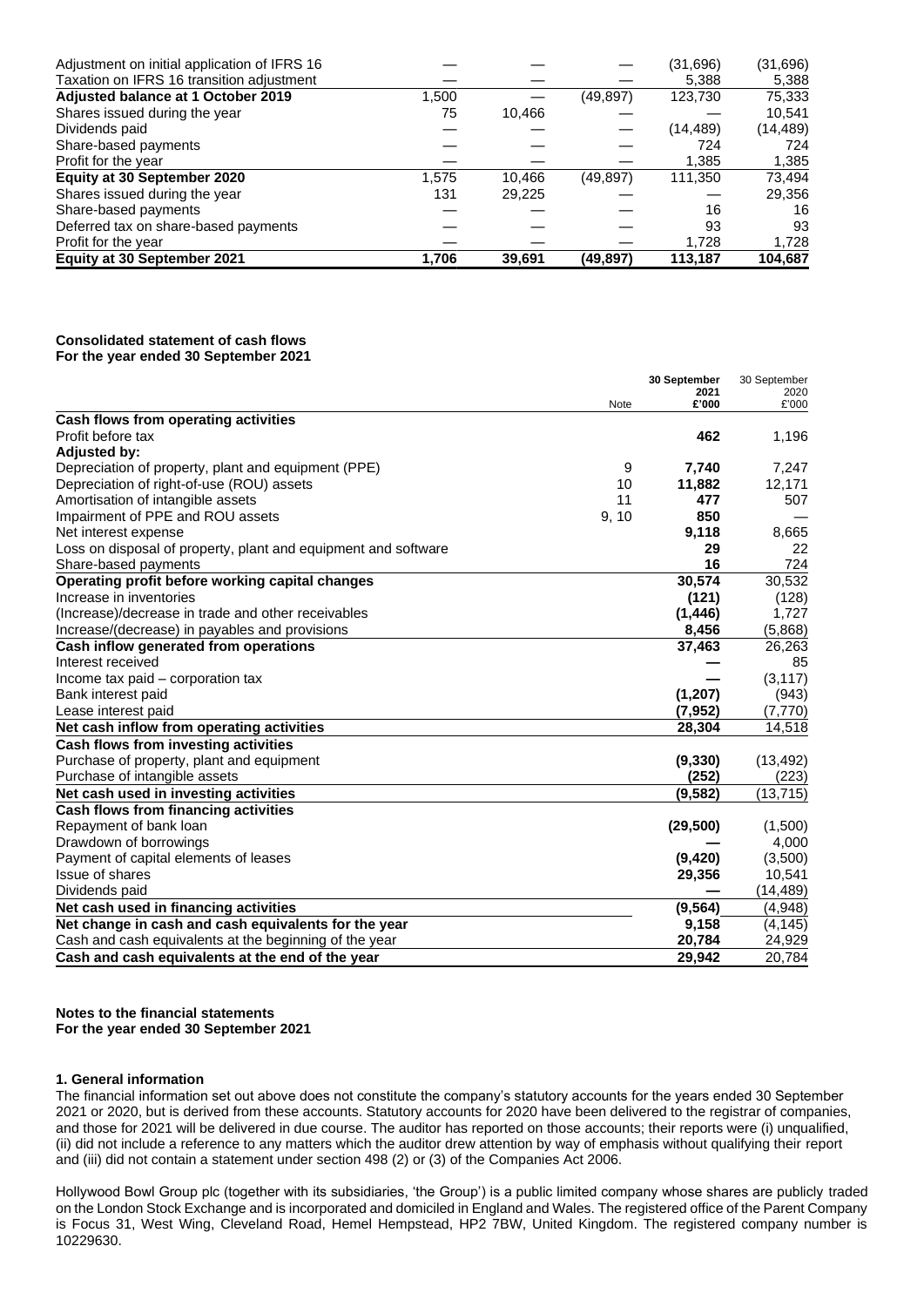| 1,706 | 39.691 | (49.897)  | 113,187   | 104,687  |
|-------|--------|-----------|-----------|----------|
|       |        |           | 1.728     | 1,728    |
|       |        |           | 93        | 93       |
|       |        |           | 16        | 16       |
| 131   | 29,225 |           |           | 29,356   |
| 1,575 | 10,466 | (49, 897) | 111,350   | 73,494   |
|       |        |           | 1,385     | 1,385    |
|       |        |           | 724       | 724      |
|       |        |           | (14, 489) | (14,489) |
| 75    | 10.466 |           |           | 10.541   |
| 1,500 |        | (49, 897) | 123,730   | 75,333   |
|       |        |           | 5,388     | 5,388    |
|       |        |           | (31,696)  | (31,696) |
|       |        |           |           |          |

### **Consolidated statement of cash flows For the year ended 30 September 2021**

|                                                                |       | 30 September  | 30 September  |
|----------------------------------------------------------------|-------|---------------|---------------|
|                                                                | Note  | 2021<br>£'000 | 2020<br>£'000 |
| Cash flows from operating activities                           |       |               |               |
| Profit before tax                                              |       | 462           | 1,196         |
| <b>Adjusted by:</b>                                            |       |               |               |
| Depreciation of property, plant and equipment (PPE)            | 9     | 7,740         | 7,247         |
| Depreciation of right-of-use (ROU) assets                      | 10    | 11,882        | 12,171        |
| Amortisation of intangible assets                              | 11    | 477           | 507           |
| Impairment of PPE and ROU assets                               | 9, 10 | 850           |               |
| Net interest expense                                           |       | 9,118         | 8,665         |
| Loss on disposal of property, plant and equipment and software |       | 29            | 22            |
| Share-based payments                                           |       | 16            | 724           |
| Operating profit before working capital changes                |       | 30,574        | 30,532        |
| Increase in inventories                                        |       | (121)         | (128)         |
| (Increase)/decrease in trade and other receivables             |       | (1, 446)      | 1,727         |
| Increase/(decrease) in payables and provisions                 |       | 8,456         | (5,868)       |
| Cash inflow generated from operations                          |       | 37,463        | 26,263        |
| Interest received                                              |       |               | 85            |
| Income tax paid - corporation tax                              |       |               | (3, 117)      |
| Bank interest paid                                             |       | (1,207)       | (943)         |
| Lease interest paid                                            |       | (7, 952)      | (7, 770)      |
| Net cash inflow from operating activities                      |       | 28,304        | 14,518        |
| Cash flows from investing activities                           |       |               |               |
| Purchase of property, plant and equipment                      |       | (9, 330)      | (13, 492)     |
| Purchase of intangible assets                                  |       | (252)         | (223)         |
| Net cash used in investing activities                          |       | (9, 582)      | (13, 715)     |
| Cash flows from financing activities                           |       |               |               |
| Repayment of bank loan                                         |       | (29, 500)     | (1,500)       |
| Drawdown of borrowings                                         |       |               | 4,000         |
| Payment of capital elements of leases                          |       | (9, 420)      | (3,500)       |
| <b>Issue of shares</b>                                         |       | 29,356        | 10,541        |
| Dividends paid                                                 |       |               | (14, 489)     |
| Net cash used in financing activities                          |       | (9, 564)      | (4,948)       |
| Net change in cash and cash equivalents for the year           |       | 9,158         | (4, 145)      |
| Cash and cash equivalents at the beginning of the year         |       | 20,784        | 24,929        |
| Cash and cash equivalents at the end of the year               |       | 29,942        | 20.784        |

**Notes to the financial statements For the year ended 30 September 2021**

## **1. General information**

The financial information set out above does not constitute the company's statutory accounts for the years ended 30 September 2021 or 2020, but is derived from these accounts. Statutory accounts for 2020 have been delivered to the registrar of companies, and those for 2021 will be delivered in due course. The auditor has reported on those accounts; their reports were (i) unqualified, (ii) did not include a reference to any matters which the auditor drew attention by way of emphasis without qualifying their report and (iii) did not contain a statement under section 498 (2) or (3) of the Companies Act 2006.

Hollywood Bowl Group plc (together with its subsidiaries, 'the Group') is a public limited company whose shares are publicly traded on the London Stock Exchange and is incorporated and domiciled in England and Wales. The registered office of the Parent Company is Focus 31, West Wing, Cleveland Road, Hemel Hempstead, HP2 7BW, United Kingdom. The registered company number is 10229630.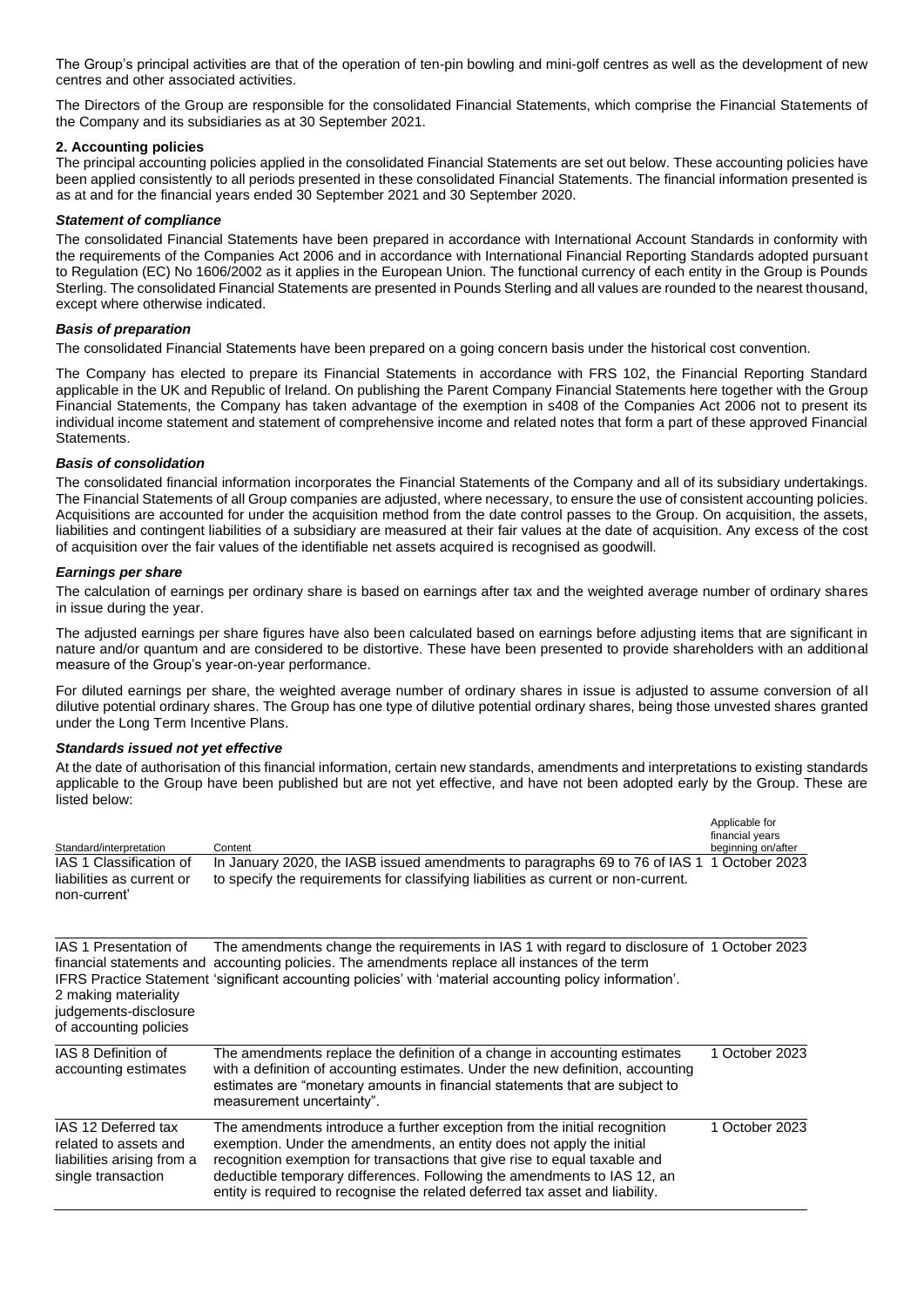The Group's principal activities are that of the operation of ten-pin bowling and mini-golf centres as well as the development of new centres and other associated activities.

The Directors of the Group are responsible for the consolidated Financial Statements, which comprise the Financial Statements of the Company and its subsidiaries as at 30 September 2021.

# **2. Accounting policies**

The principal accounting policies applied in the consolidated Financial Statements are set out below. These accounting policies have been applied consistently to all periods presented in these consolidated Financial Statements. The financial information presented is as at and for the financial years ended 30 September 2021 and 30 September 2020.

# *Statement of compliance*

The consolidated Financial Statements have been prepared in accordance with International Account Standards in conformity with the requirements of the Companies Act 2006 and in accordance with International Financial Reporting Standards adopted pursuant to Regulation (EC) No 1606/2002 as it applies in the European Union. The functional currency of each entity in the Group is Pounds Sterling. The consolidated Financial Statements are presented in Pounds Sterling and all values are rounded to the nearest thousand, except where otherwise indicated.

# *Basis of preparation*

The consolidated Financial Statements have been prepared on a going concern basis under the historical cost convention.

The Company has elected to prepare its Financial Statements in accordance with FRS 102, the Financial Reporting Standard applicable in the UK and Republic of Ireland. On publishing the Parent Company Financial Statements here together with the Group Financial Statements, the Company has taken advantage of the exemption in s408 of the Companies Act 2006 not to present its individual income statement and statement of comprehensive income and related notes that form a part of these approved Financial Statements.

# *Basis of consolidation*

The consolidated financial information incorporates the Financial Statements of the Company and all of its subsidiary undertakings. The Financial Statements of all Group companies are adjusted, where necessary, to ensure the use of consistent accounting policies. Acquisitions are accounted for under the acquisition method from the date control passes to the Group. On acquisition, the assets, liabilities and contingent liabilities of a subsidiary are measured at their fair values at the date of acquisition. Any excess of the cost of acquisition over the fair values of the identifiable net assets acquired is recognised as goodwill.

## *Earnings per share*

The calculation of earnings per ordinary share is based on earnings after tax and the weighted average number of ordinary shares in issue during the year.

The adjusted earnings per share figures have also been calculated based on earnings before adjusting items that are significant in nature and/or quantum and are considered to be distortive. These have been presented to provide shareholders with an additional measure of the Group's year-on-year performance.

For diluted earnings per share, the weighted average number of ordinary shares in issue is adjusted to assume conversion of all dilutive potential ordinary shares. The Group has one type of dilutive potential ordinary shares, being those unvested shares granted under the Long Term Incentive Plans.

## *Standards issued not yet effective*

At the date of authorisation of this financial information, certain new standards, amendments and interpretations to existing standards applicable to the Group have been published but are not yet effective, and have not been adopted early by the Group. These are listed below:

| Standard/interpretation                                                                          | Content                                                                                                                                                                                                                                                                                                                                                                                       | Applicable for<br>financial years<br>beginning on/after |
|--------------------------------------------------------------------------------------------------|-----------------------------------------------------------------------------------------------------------------------------------------------------------------------------------------------------------------------------------------------------------------------------------------------------------------------------------------------------------------------------------------------|---------------------------------------------------------|
| IAS 1 Classification of<br>liabilities as current or<br>non-current'                             | In January 2020, the IASB issued amendments to paragraphs 69 to 76 of IAS 1<br>to specify the requirements for classifying liabilities as current or non-current.                                                                                                                                                                                                                             | 1 October 2023                                          |
| IAS 1 Presentation of<br>2 making materiality<br>judgements-disclosure<br>of accounting policies | The amendments change the requirements in IAS 1 with regard to disclosure of 1 October 2023<br>financial statements and accounting policies. The amendments replace all instances of the term<br>IFRS Practice Statement 'significant accounting policies' with 'material accounting policy information'.                                                                                     |                                                         |
| IAS 8 Definition of<br>accounting estimates                                                      | The amendments replace the definition of a change in accounting estimates<br>with a definition of accounting estimates. Under the new definition, accounting<br>estimates are "monetary amounts in financial statements that are subject to<br>measurement uncertainty".                                                                                                                      | 1 October 2023                                          |
| IAS 12 Deferred tax<br>related to assets and<br>liabilities arising from a<br>single transaction | The amendments introduce a further exception from the initial recognition<br>exemption. Under the amendments, an entity does not apply the initial<br>recognition exemption for transactions that give rise to equal taxable and<br>deductible temporary differences. Following the amendments to IAS 12, an<br>entity is required to recognise the related deferred tax asset and liability. | 1 October 2023                                          |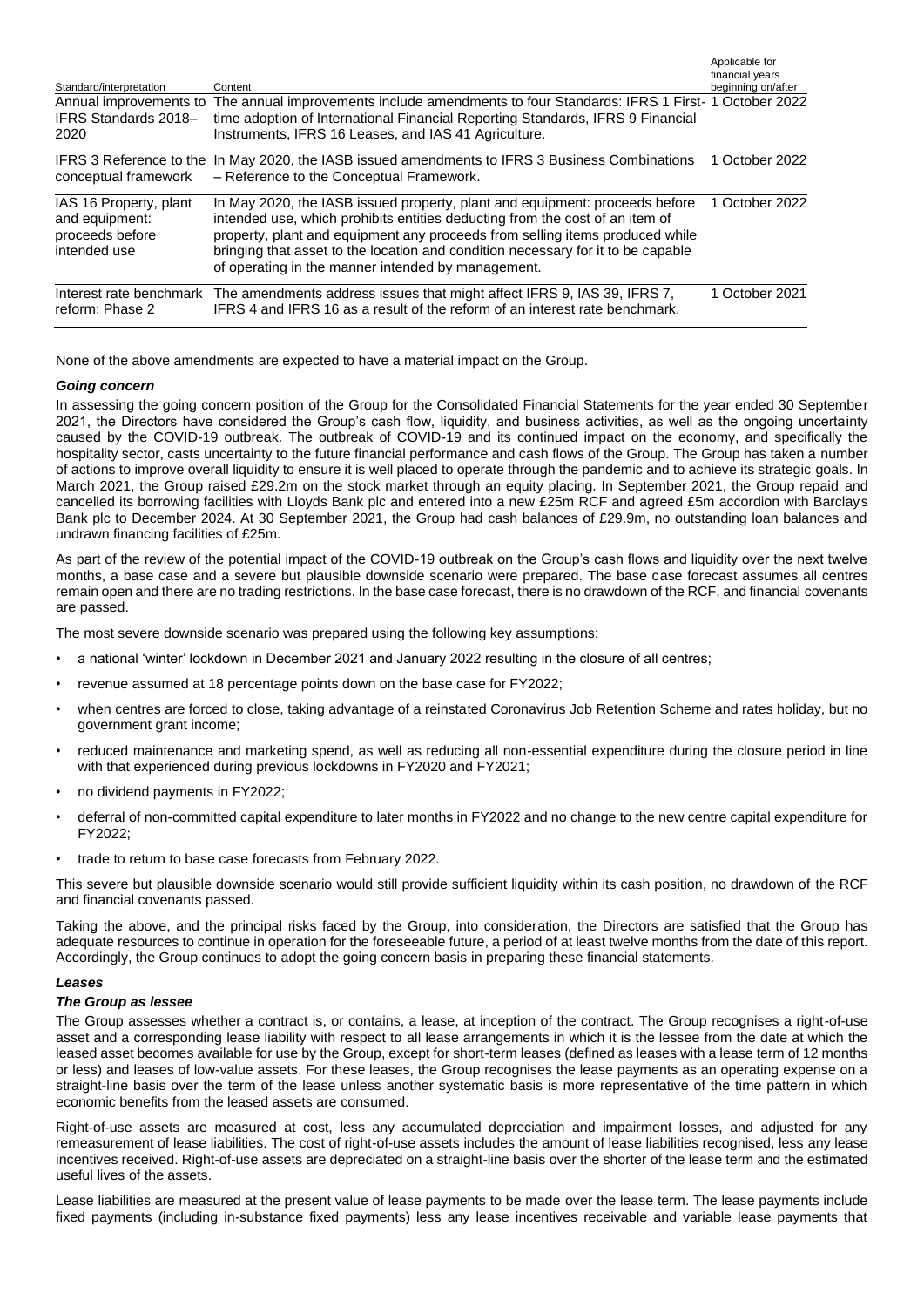| Standard/interpretation                                                     | Content                                                                                                                                                                                                                                                                                                                                                                               | Applicable for<br>financial years<br>beginning on/after |
|-----------------------------------------------------------------------------|---------------------------------------------------------------------------------------------------------------------------------------------------------------------------------------------------------------------------------------------------------------------------------------------------------------------------------------------------------------------------------------|---------------------------------------------------------|
| IFRS Standards 2018-<br>2020                                                | Annual improvements to The annual improvements include amendments to four Standards: IFRS 1 First- 1 October 2022<br>time adoption of International Financial Reporting Standards, IFRS 9 Financial<br>Instruments, IFRS 16 Leases, and IAS 41 Agriculture.                                                                                                                           |                                                         |
| IFRS 3 Reference to the<br>conceptual framework                             | In May 2020, the IASB issued amendments to IFRS 3 Business Combinations<br>- Reference to the Conceptual Framework.                                                                                                                                                                                                                                                                   | 1 October 2022                                          |
| IAS 16 Property, plant<br>and equipment:<br>proceeds before<br>intended use | In May 2020, the IASB issued property, plant and equipment: proceeds before<br>intended use, which prohibits entities deducting from the cost of an item of<br>property, plant and equipment any proceeds from selling items produced while<br>bringing that asset to the location and condition necessary for it to be capable<br>of operating in the manner intended by management. | 1 October 2022                                          |
| Interest rate benchmark<br>reform: Phase 2                                  | The amendments address issues that might affect IFRS 9, IAS 39, IFRS 7,<br>IFRS 4 and IFRS 16 as a result of the reform of an interest rate benchmark.                                                                                                                                                                                                                                | 1 October 2021                                          |

None of the above amendments are expected to have a material impact on the Group.

# *Going concern*

In assessing the going concern position of the Group for the Consolidated Financial Statements for the year ended 30 September 2021, the Directors have considered the Group's cash flow, liquidity, and business activities, as well as the ongoing uncertainty caused by the COVID-19 outbreak. The outbreak of COVID-19 and its continued impact on the economy, and specifically the hospitality sector, casts uncertainty to the future financial performance and cash flows of the Group. The Group has taken a number of actions to improve overall liquidity to ensure it is well placed to operate through the pandemic and to achieve its strategic goals. In March 2021, the Group raised £29.2m on the stock market through an equity placing. In September 2021, the Group repaid and cancelled its borrowing facilities with Lloyds Bank plc and entered into a new £25m RCF and agreed £5m accordion with Barclays Bank plc to December 2024. At 30 September 2021, the Group had cash balances of £29.9m, no outstanding loan balances and undrawn financing facilities of £25m.

As part of the review of the potential impact of the COVID-19 outbreak on the Group's cash flows and liquidity over the next twelve months, a base case and a severe but plausible downside scenario were prepared. The base case forecast assumes all centres remain open and there are no trading restrictions. In the base case forecast, there is no drawdown of the RCF, and financial covenants are passed.

The most severe downside scenario was prepared using the following key assumptions:

- a national 'winter' lockdown in December 2021 and January 2022 resulting in the closure of all centres;
- revenue assumed at 18 percentage points down on the base case for FY2022;
- when centres are forced to close, taking advantage of a reinstated Coronavirus Job Retention Scheme and rates holiday, but no government grant income;
- reduced maintenance and marketing spend, as well as reducing all non-essential expenditure during the closure period in line with that experienced during previous lockdowns in FY2020 and FY2021;
- no dividend payments in FY2022;
- deferral of non-committed capital expenditure to later months in FY2022 and no change to the new centre capital expenditure for  $FY2022$
- trade to return to base case forecasts from February 2022.

This severe but plausible downside scenario would still provide sufficient liquidity within its cash position, no drawdown of the RCF and financial covenants passed.

Taking the above, and the principal risks faced by the Group, into consideration, the Directors are satisfied that the Group has adequate resources to continue in operation for the foreseeable future, a period of at least twelve months from the date of this report. Accordingly, the Group continues to adopt the going concern basis in preparing these financial statements.

## *Leases*

#### *The Group as lessee*

The Group assesses whether a contract is, or contains, a lease, at inception of the contract. The Group recognises a right-of-use asset and a corresponding lease liability with respect to all lease arrangements in which it is the lessee from the date at which the leased asset becomes available for use by the Group, except for short-term leases (defined as leases with a lease term of 12 months or less) and leases of low-value assets. For these leases, the Group recognises the lease payments as an operating expense on a straight-line basis over the term of the lease unless another systematic basis is more representative of the time pattern in which economic benefits from the leased assets are consumed.

Right-of-use assets are measured at cost, less any accumulated depreciation and impairment losses, and adjusted for any remeasurement of lease liabilities. The cost of right-of-use assets includes the amount of lease liabilities recognised, less any lease incentives received. Right-of-use assets are depreciated on a straight-line basis over the shorter of the lease term and the estimated useful lives of the assets.

Lease liabilities are measured at the present value of lease payments to be made over the lease term. The lease payments include fixed payments (including in-substance fixed payments) less any lease incentives receivable and variable lease payments that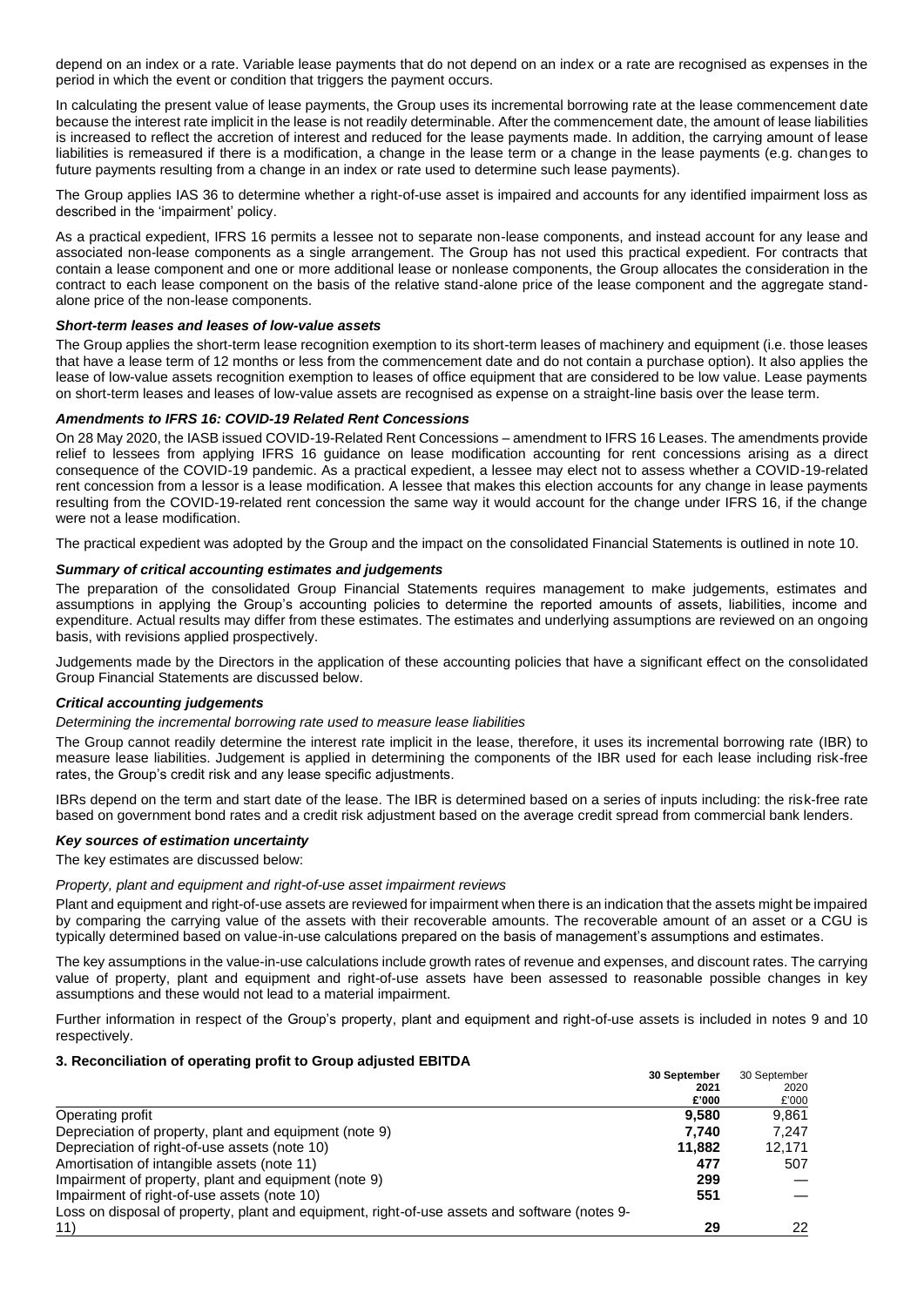depend on an index or a rate. Variable lease payments that do not depend on an index or a rate are recognised as expenses in the period in which the event or condition that triggers the payment occurs.

In calculating the present value of lease payments, the Group uses its incremental borrowing rate at the lease commencement date because the interest rate implicit in the lease is not readily determinable. After the commencement date, the amount of lease liabilities is increased to reflect the accretion of interest and reduced for the lease payments made. In addition, the carrying amount of lease liabilities is remeasured if there is a modification, a change in the lease term or a change in the lease payments (e.g. changes to future payments resulting from a change in an index or rate used to determine such lease payments).

The Group applies IAS 36 to determine whether a right-of-use asset is impaired and accounts for any identified impairment loss as described in the 'impairment' policy.

As a practical expedient, IFRS 16 permits a lessee not to separate non-lease components, and instead account for any lease and associated non-lease components as a single arrangement. The Group has not used this practical expedient. For contracts that contain a lease component and one or more additional lease or nonlease components, the Group allocates the consideration in the contract to each lease component on the basis of the relative stand-alone price of the lease component and the aggregate standalone price of the non-lease components.

## *Short-term leases and leases of low-value assets*

The Group applies the short-term lease recognition exemption to its short-term leases of machinery and equipment (i.e. those leases that have a lease term of 12 months or less from the commencement date and do not contain a purchase option). It also applies the lease of low-value assets recognition exemption to leases of office equipment that are considered to be low value. Lease payments on short-term leases and leases of low-value assets are recognised as expense on a straight-line basis over the lease term.

# *Amendments to IFRS 16: COVID-19 Related Rent Concessions*

On 28 May 2020, the IASB issued COVID-19-Related Rent Concessions – amendment to IFRS 16 Leases. The amendments provide relief to lessees from applying IFRS 16 guidance on lease modification accounting for rent concessions arising as a direct consequence of the COVID-19 pandemic. As a practical expedient, a lessee may elect not to assess whether a COVID-19-related rent concession from a lessor is a lease modification. A lessee that makes this election accounts for any change in lease payments resulting from the COVID-19-related rent concession the same way it would account for the change under IFRS 16, if the change were not a lease modification.

The practical expedient was adopted by the Group and the impact on the consolidated Financial Statements is outlined in note 10.

### *Summary of critical accounting estimates and judgements*

The preparation of the consolidated Group Financial Statements requires management to make judgements, estimates and assumptions in applying the Group's accounting policies to determine the reported amounts of assets, liabilities, income and expenditure. Actual results may differ from these estimates. The estimates and underlying assumptions are reviewed on an ongoing basis, with revisions applied prospectively.

Judgements made by the Directors in the application of these accounting policies that have a significant effect on the consolidated Group Financial Statements are discussed below.

### *Critical accounting judgements*

#### *Determining the incremental borrowing rate used to measure lease liabilities*

The Group cannot readily determine the interest rate implicit in the lease, therefore, it uses its incremental borrowing rate (IBR) to measure lease liabilities. Judgement is applied in determining the components of the IBR used for each lease including risk-free rates, the Group's credit risk and any lease specific adjustments.

IBRs depend on the term and start date of the lease. The IBR is determined based on a series of inputs including: the risk-free rate based on government bond rates and a credit risk adjustment based on the average credit spread from commercial bank lenders.

#### *Key sources of estimation uncertainty*

The key estimates are discussed below:

#### *Property, plant and equipment and right-of-use asset impairment reviews*

Plant and equipment and right-of-use assets are reviewed for impairment when there is an indication that the assets might be impaired by comparing the carrying value of the assets with their recoverable amounts. The recoverable amount of an asset or a CGU is typically determined based on value-in-use calculations prepared on the basis of management's assumptions and estimates.

The key assumptions in the value-in-use calculations include growth rates of revenue and expenses, and discount rates. The carrying value of property, plant and equipment and right-of-use assets have been assessed to reasonable possible changes in key assumptions and these would not lead to a material impairment.

Further information in respect of the Group's property, plant and equipment and right-of-use assets is included in notes 9 and 10 respectively.

#### **3. Reconciliation of operating profit to Group adjusted EBITDA**

|                                                                                               | 30 September | 30 September |
|-----------------------------------------------------------------------------------------------|--------------|--------------|
|                                                                                               | 2021         | 2020         |
|                                                                                               | £'000        | £'000        |
| Operating profit                                                                              | 9.580        | 9.861        |
| Depreciation of property, plant and equipment (note 9)                                        | 7.740        | 7.247        |
| Depreciation of right-of-use assets (note 10)                                                 | 11.882       | 12,171       |
| Amortisation of intangible assets (note 11)                                                   | 477          | 507          |
| Impairment of property, plant and equipment (note 9)                                          | 299          |              |
| Impairment of right-of-use assets (note 10)                                                   | 551          |              |
| Loss on disposal of property, plant and equipment, right-of-use assets and software (notes 9- |              |              |
| 11)                                                                                           | 29           | 22           |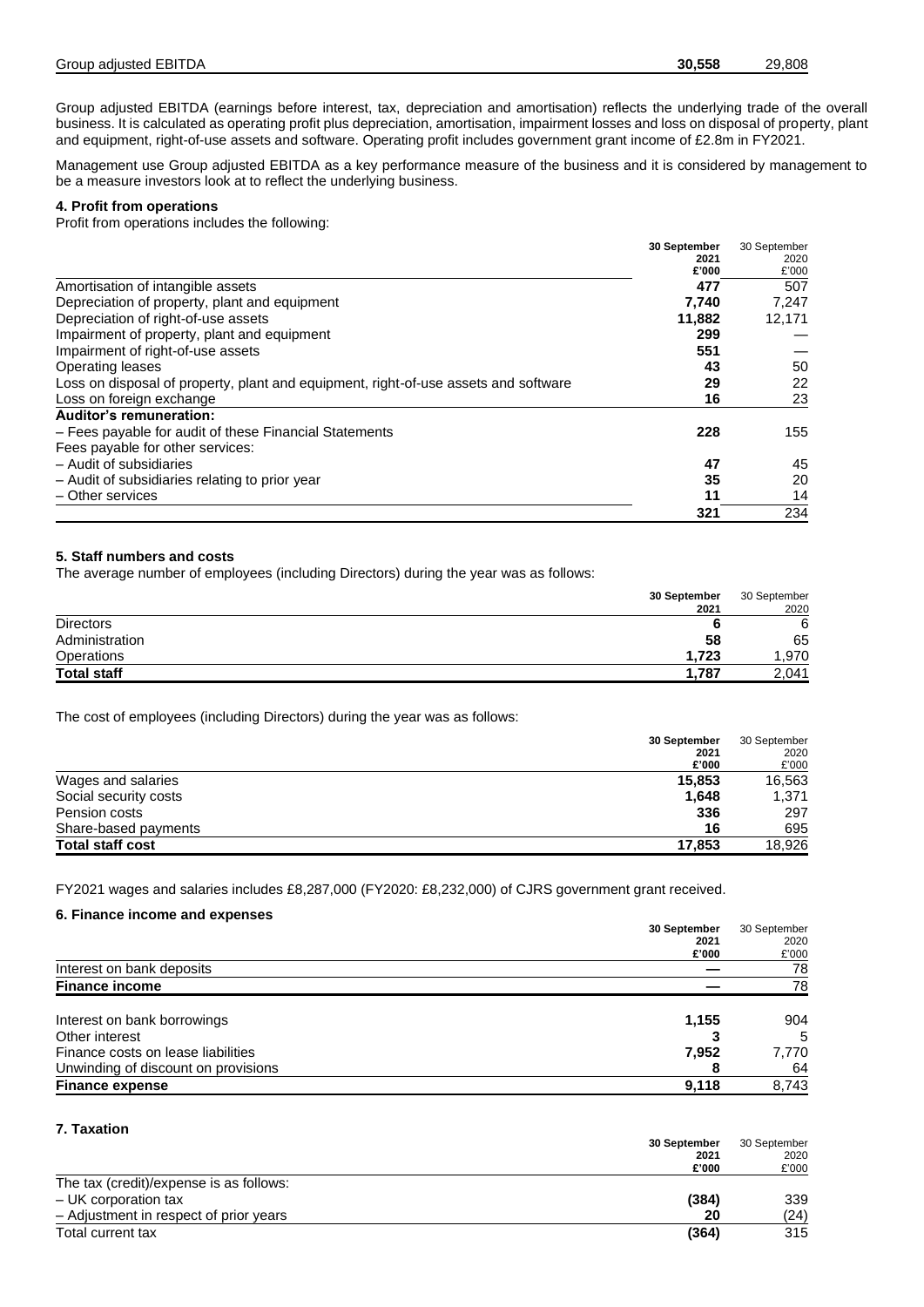Group adjusted EBITDA (earnings before interest, tax, depreciation and amortisation) reflects the underlying trade of the overall business. It is calculated as operating profit plus depreciation, amortisation, impairment losses and loss on disposal of property, plant and equipment, right-of-use assets and software. Operating profit includes government grant income of £2.8m in FY2021.

Management use Group adjusted EBITDA as a key performance measure of the business and it is considered by management to be a measure investors look at to reflect the underlying business.

# **4. Profit from operations**

Profit from operations includes the following:

|                                                                                     | 30 September | 30 September |
|-------------------------------------------------------------------------------------|--------------|--------------|
|                                                                                     | 2021         | 2020         |
|                                                                                     | £'000        | £'000        |
| Amortisation of intangible assets                                                   | 477          | 507          |
| Depreciation of property, plant and equipment                                       | 7,740        | 7.247        |
| Depreciation of right-of-use assets                                                 | 11,882       | 12,171       |
| Impairment of property, plant and equipment                                         | 299          |              |
| Impairment of right-of-use assets                                                   | 551          |              |
| Operating leases                                                                    | 43           | 50           |
| Loss on disposal of property, plant and equipment, right-of-use assets and software | 29           | 22           |
| Loss on foreign exchange                                                            | 16           | 23           |
| <b>Auditor's remuneration:</b>                                                      |              |              |
| - Fees payable for audit of these Financial Statements                              | 228          | 155          |
| Fees payable for other services:                                                    |              |              |
| - Audit of subsidiaries                                                             | 47           | 45           |
| - Audit of subsidiaries relating to prior year                                      | 35           | 20           |
| - Other services                                                                    | 11           | 14           |
|                                                                                     | 321          | 234          |

## **5. Staff numbers and costs**

The average number of employees (including Directors) during the year was as follows:

|                    | 30 September | 30 September |
|--------------------|--------------|--------------|
|                    | 2021         | 2020         |
| <b>Directors</b>   |              | 6            |
| Administration     | 58           | 65           |
| <b>Operations</b>  | 1.723        | 970,         |
| <b>Total staff</b> | 1.787        | 2,041        |

The cost of employees (including Directors) during the year was as follows:

| 30 September                      | 30 September |
|-----------------------------------|--------------|
| 2021                              | 2020         |
| £'000                             | £'000        |
| Wages and salaries<br>15,853      | 16,563       |
| Social security costs<br>1,648    | 1,371        |
| 336<br>Pension costs              | 297          |
| Share-based payments<br>16        | 695          |
| <b>Total staff cost</b><br>17.853 | 18.926       |

FY2021 wages and salaries includes £8,287,000 (FY2020: £8,232,000) of CJRS government grant received.

## **6. Finance income and expenses**

|                                     | 30 September |       |
|-------------------------------------|--------------|-------|
|                                     | 2021         | 2020  |
|                                     | £'000        | £'000 |
| Interest on bank deposits           |              | 78    |
| <b>Finance income</b>               |              | 78    |
| Interest on bank borrowings         | 1,155        | 904   |
| Other interest                      |              | 5     |
| Finance costs on lease liabilities  | 7,952        | 7,770 |
| Unwinding of discount on provisions |              | 64    |
| <b>Finance expense</b>              | 9,118        | 8,743 |

# **7. Taxation**

|                                         | 30 September  |               |
|-----------------------------------------|---------------|---------------|
|                                         | 2021<br>£'000 | 2020<br>£'000 |
|                                         |               |               |
| The tax (credit)/expense is as follows: |               |               |
| - UK corporation tax                    | (384)         | 339           |
| - Adjustment in respect of prior years  | 20            | (24)          |
| Total current tax                       | (364)         | 315           |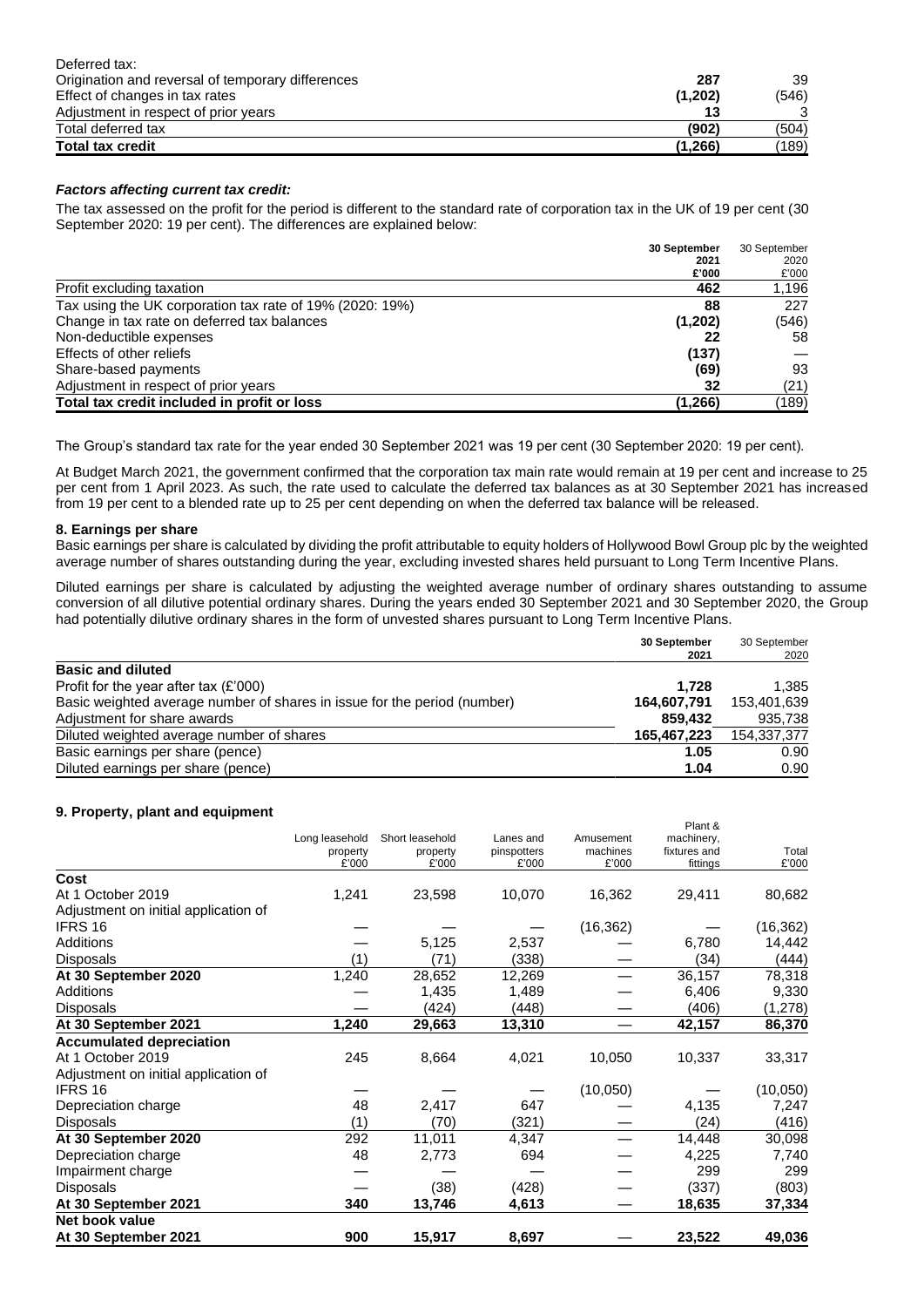| Deferred tax:                                     |         |       |
|---------------------------------------------------|---------|-------|
| Origination and reversal of temporary differences | 287     | 39    |
| Effect of changes in tax rates                    | (1,202) | (546) |
| Adjustment in respect of prior years              |         | 3     |
| Total deferred tax                                | (902)   | (504) |
| <b>Total tax credit</b>                           | (1,266) | (189) |

# *Factors affecting current tax credit:*

The tax assessed on the profit for the period is different to the standard rate of corporation tax in the UK of 19 per cent (30 September 2020: 19 per cent). The differences are explained below:

|                                                          | 30 September | 30 September |
|----------------------------------------------------------|--------------|--------------|
|                                                          | 2021         | 2020         |
|                                                          | £'000        | £'000        |
| Profit excluding taxation                                | 462          | 1,196        |
| Tax using the UK corporation tax rate of 19% (2020: 19%) | 88           | 227          |
| Change in tax rate on deferred tax balances              | (1,202)      | (546)        |
| Non-deductible expenses                                  | 22           | 58           |
| Effects of other reliefs                                 | (137)        |              |
| Share-based payments                                     | (69)         | 93           |
| Adjustment in respect of prior years                     | 32           | (21)         |
| Total tax credit included in profit or loss              | (1,266)      | (189)        |

The Group's standard tax rate for the year ended 30 September 2021 was 19 per cent (30 September 2020: 19 per cent).

At Budget March 2021, the government confirmed that the corporation tax main rate would remain at 19 per cent and increase to 25 per cent from 1 April 2023. As such, the rate used to calculate the deferred tax balances as at 30 September 2021 has increased from 19 per cent to a blended rate up to 25 per cent depending on when the deferred tax balance will be released.

# **8. Earnings per share**

Basic earnings per share is calculated by dividing the profit attributable to equity holders of Hollywood Bowl Group plc by the weighted average number of shares outstanding during the year, excluding invested shares held pursuant to Long Term Incentive Plans.

Diluted earnings per share is calculated by adjusting the weighted average number of ordinary shares outstanding to assume conversion of all dilutive potential ordinary shares. During the years ended 30 September 2021 and 30 September 2020, the Group had potentially dilutive ordinary shares in the form of unvested shares pursuant to Long Term Incentive Plans.

|                                                                          | 30 September<br>2021 | 30 September<br>2020 |
|--------------------------------------------------------------------------|----------------------|----------------------|
| <b>Basic and diluted</b>                                                 |                      |                      |
| Profit for the year after tax $(E'000)$                                  | 1.728                | 1.385                |
| Basic weighted average number of shares in issue for the period (number) | 164,607,791          | 153,401,639          |
| Adjustment for share awards                                              | 859.432              | 935,738              |
| Diluted weighted average number of shares                                | 165,467,223          | 154,337,377          |
| Basic earnings per share (pence)                                         | 1.05                 | 0.90                 |
| Diluted earnings per share (pence)                                       | 1.04                 | 0.90                 |

# **9. Property, plant and equipment**

| .                                    | Long leasehold<br>property<br>£'000 | Short leasehold<br>property<br>£'000 | Lanes and<br>pinspotters<br>£'000 | Amusement<br>machines<br>£'000 | Plant &<br>machinery,<br>fixtures and<br>fittings | Total<br>£'000 |
|--------------------------------------|-------------------------------------|--------------------------------------|-----------------------------------|--------------------------------|---------------------------------------------------|----------------|
| Cost                                 |                                     |                                      |                                   |                                |                                                   |                |
| At 1 October 2019                    | 1,241                               | 23,598                               | 10,070                            | 16,362                         | 29,411                                            | 80,682         |
| Adjustment on initial application of |                                     |                                      |                                   |                                |                                                   |                |
| IFRS 16                              |                                     |                                      |                                   | (16, 362)                      |                                                   | (16, 362)      |
| Additions                            |                                     | 5,125                                | 2,537                             |                                | 6,780                                             | 14,442         |
| Disposals                            | (1)                                 | (71)                                 | (338)                             |                                | (34)                                              | (444)          |
| At 30 September 2020                 | 1,240                               | 28,652                               | 12,269                            |                                | 36,157                                            | 78,318         |
| Additions                            |                                     | 1,435                                | 1,489                             |                                | 6,406                                             | 9,330          |
| Disposals                            |                                     | (424)                                | (448)                             |                                | (406)                                             | (1, 278)       |
| At 30 September 2021                 | 1,240                               | 29,663                               | 13,310                            |                                | 42,157                                            | 86,370         |
| <b>Accumulated depreciation</b>      |                                     |                                      |                                   |                                |                                                   |                |
| At 1 October 2019                    | 245                                 | 8,664                                | 4,021                             | 10,050                         | 10,337                                            | 33,317         |
| Adjustment on initial application of |                                     |                                      |                                   |                                |                                                   |                |
| IFRS 16                              |                                     |                                      |                                   | (10,050)                       |                                                   | (10,050)       |
| Depreciation charge                  | 48                                  | 2,417                                | 647                               |                                | 4,135                                             | 7,247          |
| Disposals                            | (1)                                 | (70)                                 | (321)                             |                                | (24)                                              | (416)          |
| At 30 September 2020                 | 292                                 | 11,011                               | 4,347                             |                                | 14,448                                            | 30,098         |
| Depreciation charge                  | 48                                  | 2,773                                | 694                               |                                | 4,225                                             | 7,740          |
| Impairment charge                    |                                     |                                      |                                   |                                | 299                                               | 299            |
| Disposals                            |                                     | (38)                                 | (428)                             |                                | (337)                                             | (803)          |
| At 30 September 2021                 | 340                                 | 13,746                               | 4,613                             |                                | 18,635                                            | 37,334         |
| Net book value                       |                                     |                                      |                                   |                                |                                                   |                |
| At 30 September 2021                 | 900                                 | 15,917                               | 8,697                             |                                | 23,522                                            | 49,036         |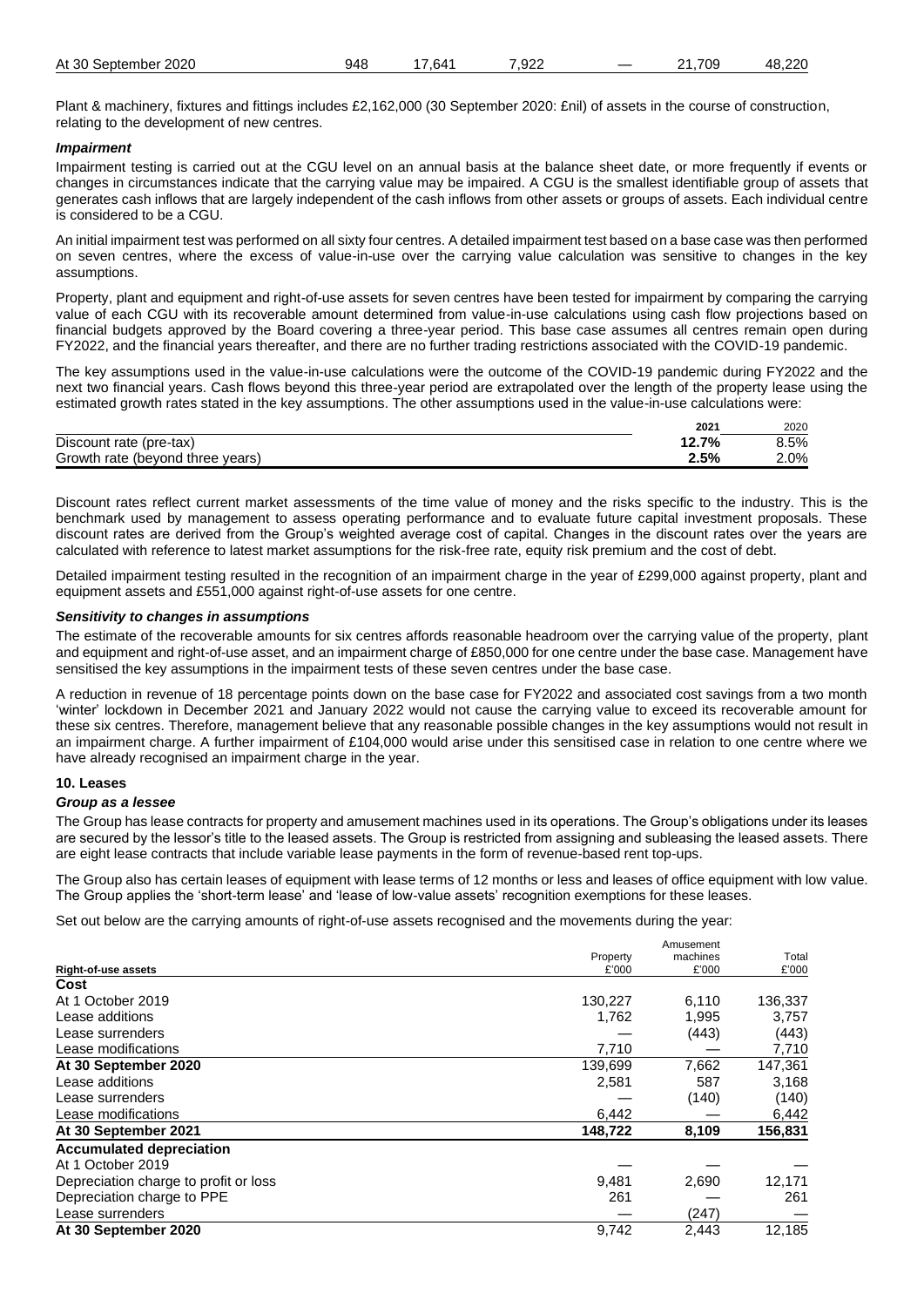| 7.000<br>709.<br>At 30<br>2020<br>948<br>אי<br>---<br>າtember<br>60 K<br>eptemص ۔<br>22ء.<br>_<br>. U<br>. . | ooc<br>л۶<br>--<br>.<br>____ |
|--------------------------------------------------------------------------------------------------------------|------------------------------|
|--------------------------------------------------------------------------------------------------------------|------------------------------|

Plant & machinery, fixtures and fittings includes £2,162,000 (30 September 2020: £nil) of assets in the course of construction, relating to the development of new centres.

# *Impairment*

Impairment testing is carried out at the CGU level on an annual basis at the balance sheet date, or more frequently if events or changes in circumstances indicate that the carrying value may be impaired. A CGU is the smallest identifiable group of assets that generates cash inflows that are largely independent of the cash inflows from other assets or groups of assets. Each individual centre is considered to be a CGU.

An initial impairment test was performed on all sixty four centres. A detailed impairment test based on a base case was then performed on seven centres, where the excess of value-in-use over the carrying value calculation was sensitive to changes in the key assumptions.

Property, plant and equipment and right-of-use assets for seven centres have been tested for impairment by comparing the carrying value of each CGU with its recoverable amount determined from value-in-use calculations using cash flow projections based on financial budgets approved by the Board covering a three-year period. This base case assumes all centres remain open during FY2022, and the financial years thereafter, and there are no further trading restrictions associated with the COVID-19 pandemic.

The key assumptions used in the value-in-use calculations were the outcome of the COVID-19 pandemic during FY2022 and the next two financial years. Cash flows beyond this three-year period are extrapolated over the length of the property lease using the estimated growth rates stated in the key assumptions. The other assumptions used in the value-in-use calculations were:

|                                  | $202^{\circ}$             | 2020    |
|----------------------------------|---------------------------|---------|
| Discount rate (pre-tax)          | 7%<br>$\overline{ }$<br>. | 8.5%    |
| Growth rate (beyond three years) | 2.5%                      | $2.0\%$ |

Discount rates reflect current market assessments of the time value of money and the risks specific to the industry. This is the benchmark used by management to assess operating performance and to evaluate future capital investment proposals. These discount rates are derived from the Group's weighted average cost of capital. Changes in the discount rates over the years are calculated with reference to latest market assumptions for the risk-free rate, equity risk premium and the cost of debt.

Detailed impairment testing resulted in the recognition of an impairment charge in the year of £299,000 against property, plant and equipment assets and £551,000 against right-of-use assets for one centre.

# *Sensitivity to changes in assumptions*

The estimate of the recoverable amounts for six centres affords reasonable headroom over the carrying value of the property, plant and equipment and right-of-use asset, and an impairment charge of £850,000 for one centre under the base case. Management have sensitised the key assumptions in the impairment tests of these seven centres under the base case.

A reduction in revenue of 18 percentage points down on the base case for FY2022 and associated cost savings from a two month 'winter' lockdown in December 2021 and January 2022 would not cause the carrying value to exceed its recoverable amount for these six centres. Therefore, management believe that any reasonable possible changes in the key assumptions would not result in an impairment charge. A further impairment of £104,000 would arise under this sensitised case in relation to one centre where we have already recognised an impairment charge in the year.

## **10. Leases**

## *Group as a lessee*

The Group has lease contracts for property and amusement machines used in its operations. The Group's obligations under its leases are secured by the lessor's title to the leased assets. The Group is restricted from assigning and subleasing the leased assets. There are eight lease contracts that include variable lease payments in the form of revenue-based rent top-ups.

The Group also has certain leases of equipment with lease terms of 12 months or less and leases of office equipment with low value. The Group applies the 'short-term lease' and 'lease of low-value assets' recognition exemptions for these leases.

Set out below are the carrying amounts of right-of-use assets recognised and the movements during the year:

|                                       |          | Amusement |         |
|---------------------------------------|----------|-----------|---------|
|                                       | Property | machines  | Total   |
| <b>Right-of-use assets</b>            | £'000    | £'000     | £'000   |
| Cost                                  |          |           |         |
| At 1 October 2019                     | 130,227  | 6,110     | 136,337 |
| Lease additions                       | 1,762    | 1,995     | 3,757   |
| Lease surrenders                      |          | (443)     | (443)   |
| Lease modifications                   | 7,710    |           | 7,710   |
| At 30 September 2020                  | 139,699  | 7,662     | 147,361 |
| Lease additions                       | 2,581    | 587       | 3,168   |
| Lease surrenders                      |          | (140)     | (140)   |
| Lease modifications                   | 6,442    |           | 6,442   |
| At 30 September 2021                  | 148,722  | 8,109     | 156,831 |
| <b>Accumulated depreciation</b>       |          |           |         |
| At 1 October 2019                     |          |           |         |
| Depreciation charge to profit or loss | 9,481    | 2,690     | 12,171  |
| Depreciation charge to PPE            | 261      |           | 261     |
| Lease surrenders                      |          | (247)     |         |
| At 30 September 2020                  | 9,742    | 2.443     | 12.185  |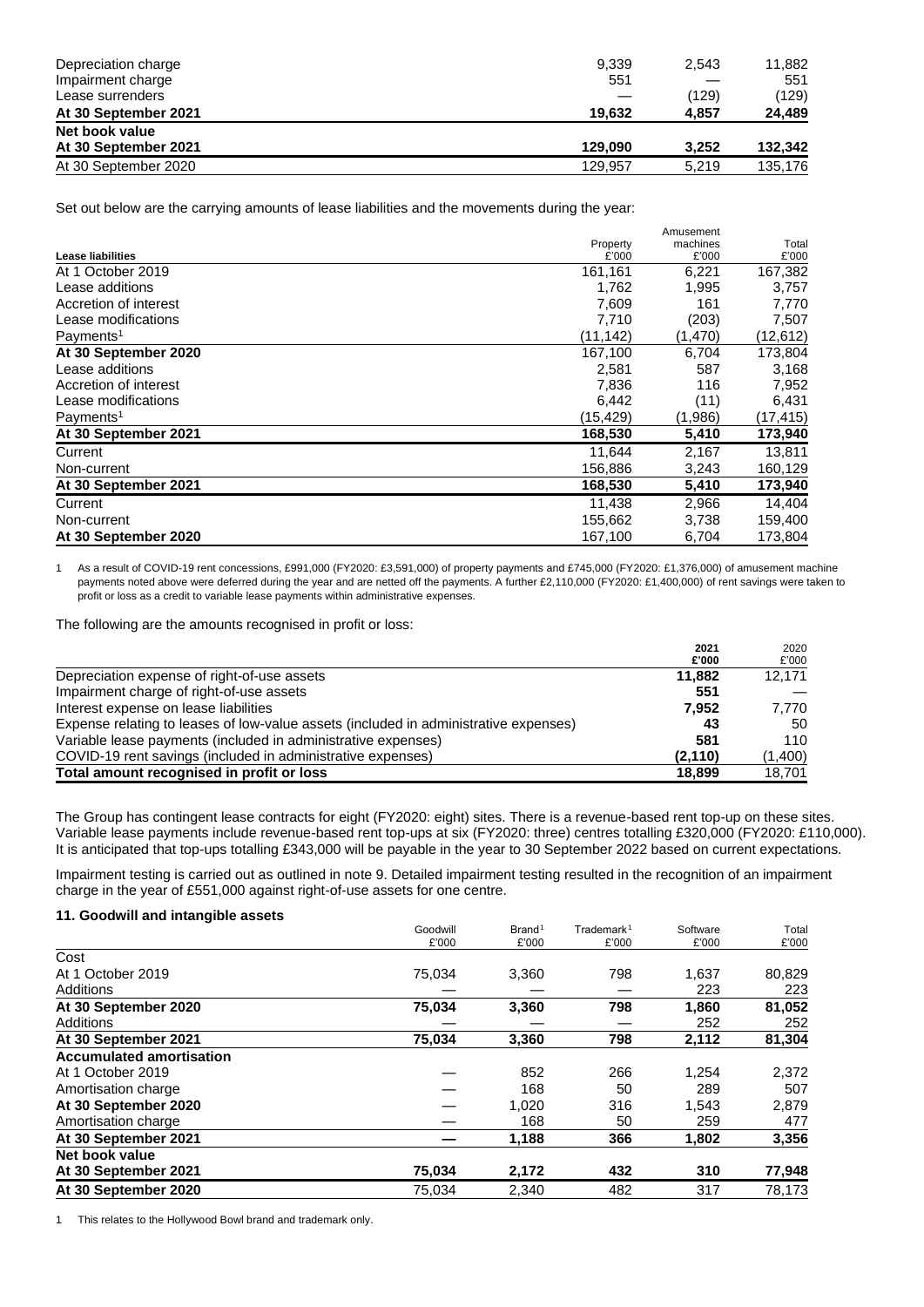| Depreciation charge  | 9.339   | 2,543 | 11,882  |
|----------------------|---------|-------|---------|
| Impairment charge    | 551     |       | 551     |
| Lease surrenders     |         | (129) | (129)   |
| At 30 September 2021 | 19.632  | 4.857 | 24,489  |
| Net book value       |         |       |         |
| At 30 September 2021 | 129.090 | 3.252 | 132.342 |
| At 30 September 2020 | 129.957 | 5.219 | 135,176 |

Set out below are the carrying amounts of lease liabilities and the movements during the year:

|                          |           | Amusement |           |
|--------------------------|-----------|-----------|-----------|
|                          | Property  | machines  | Total     |
| <b>Lease liabilities</b> | £'000     | £'000     | £'000     |
| At 1 October 2019        | 161,161   | 6,221     | 167,382   |
| Lease additions          | 1,762     | 1,995     | 3,757     |
| Accretion of interest    | 7,609     | 161       | 7,770     |
| Lease modifications      | 7,710     | (203)     | 7,507     |
| Payments <sup>1</sup>    | (11, 142) | (1,470)   | (12, 612) |
| At 30 September 2020     | 167,100   | 6,704     | 173,804   |
| Lease additions          | 2,581     | 587       | 3,168     |
| Accretion of interest    | 7,836     | 116       | 7,952     |
| Lease modifications      | 6,442     | (11)      | 6,431     |
| Payments <sup>1</sup>    | (15, 429) | (1,986)   | (17, 415) |
| At 30 September 2021     | 168,530   | 5,410     | 173,940   |
| Current                  | 11,644    | 2,167     | 13,811    |
| Non-current              | 156,886   | 3,243     | 160,129   |
| At 30 September 2021     | 168,530   | 5,410     | 173,940   |
| Current                  | 11,438    | 2,966     | 14,404    |
| Non-current              | 155,662   | 3,738     | 159,400   |
| At 30 September 2020     | 167,100   | 6,704     | 173,804   |

1 As a result of COVID-19 rent concessions, £991,000 (FY2020: £3,591,000) of property payments and £745,000 (FY2020: £1,376,000) of amusement machine payments noted above were deferred during the year and are netted off the payments. A further £2,110,000 (FY2020: £1,400,000) of rent savings were taken to profit or loss as a credit to variable lease payments within administrative expenses.

**2021**

2020

The following are the amounts recognised in profit or loss:

|                                                                                      | 2021<br>£'000 | 2020<br>£'000 |
|--------------------------------------------------------------------------------------|---------------|---------------|
| Depreciation expense of right-of-use assets                                          | 11.882        | 12.171        |
| Impairment charge of right-of-use assets                                             | 551           |               |
| Interest expense on lease liabilities                                                | 7.952         | 7.770         |
| Expense relating to leases of low-value assets (included in administrative expenses) | 43            | 50            |
| Variable lease payments (included in administrative expenses)                        | 581           | 110           |
| COVID-19 rent savings (included in administrative expenses)                          | (2, 110)      | (1,400)       |
| Total amount recognised in profit or loss                                            | 18.899        | 18,701        |

The Group has contingent lease contracts for eight (FY2020: eight) sites. There is a revenue-based rent top-up on these sites. Variable lease payments include revenue-based rent top-ups at six (FY2020: three) centres totalling £320,000 (FY2020: £110,000). It is anticipated that top-ups totalling £343,000 will be payable in the year to 30 September 2022 based on current expectations.

Impairment testing is carried out as outlined in note 9. Detailed impairment testing resulted in the recognition of an impairment charge in the year of £551,000 against right-of-use assets for one centre.

# **11. Goodwill and intangible assets**

|                                 | Goodwill | Brand <sup>1</sup> | Trademark <sup>1</sup> | Software | Total  |
|---------------------------------|----------|--------------------|------------------------|----------|--------|
|                                 | £'000    | £'000              | £'000                  | £'000    | £'000  |
| Cost                            |          |                    |                        |          |        |
| At 1 October 2019               | 75,034   | 3,360              | 798                    | 1,637    | 80,829 |
| Additions                       |          |                    |                        | 223      | 223    |
| At 30 September 2020            | 75,034   | 3,360              | 798                    | 1,860    | 81,052 |
| Additions                       |          |                    |                        | 252      | 252    |
| At 30 September 2021            | 75,034   | 3,360              | 798                    | 2,112    | 81,304 |
| <b>Accumulated amortisation</b> |          |                    |                        |          |        |
| At 1 October 2019               |          | 852                | 266                    | 1,254    | 2,372  |
| Amortisation charge             |          | 168                | 50                     | 289      | 507    |
| At 30 September 2020            |          | 1.020              | 316                    | 1,543    | 2,879  |
| Amortisation charge             |          | 168                | 50                     | 259      | 477    |
| At 30 September 2021            |          | 1,188              | 366                    | 1,802    | 3,356  |
| Net book value                  |          |                    |                        |          |        |
| At 30 September 2021            | 75,034   | 2,172              | 432                    | 310      | 77,948 |
| At 30 September 2020            | 75,034   | 2,340              | 482                    | 317      | 78.173 |

1 This relates to the Hollywood Bowl brand and trademark only.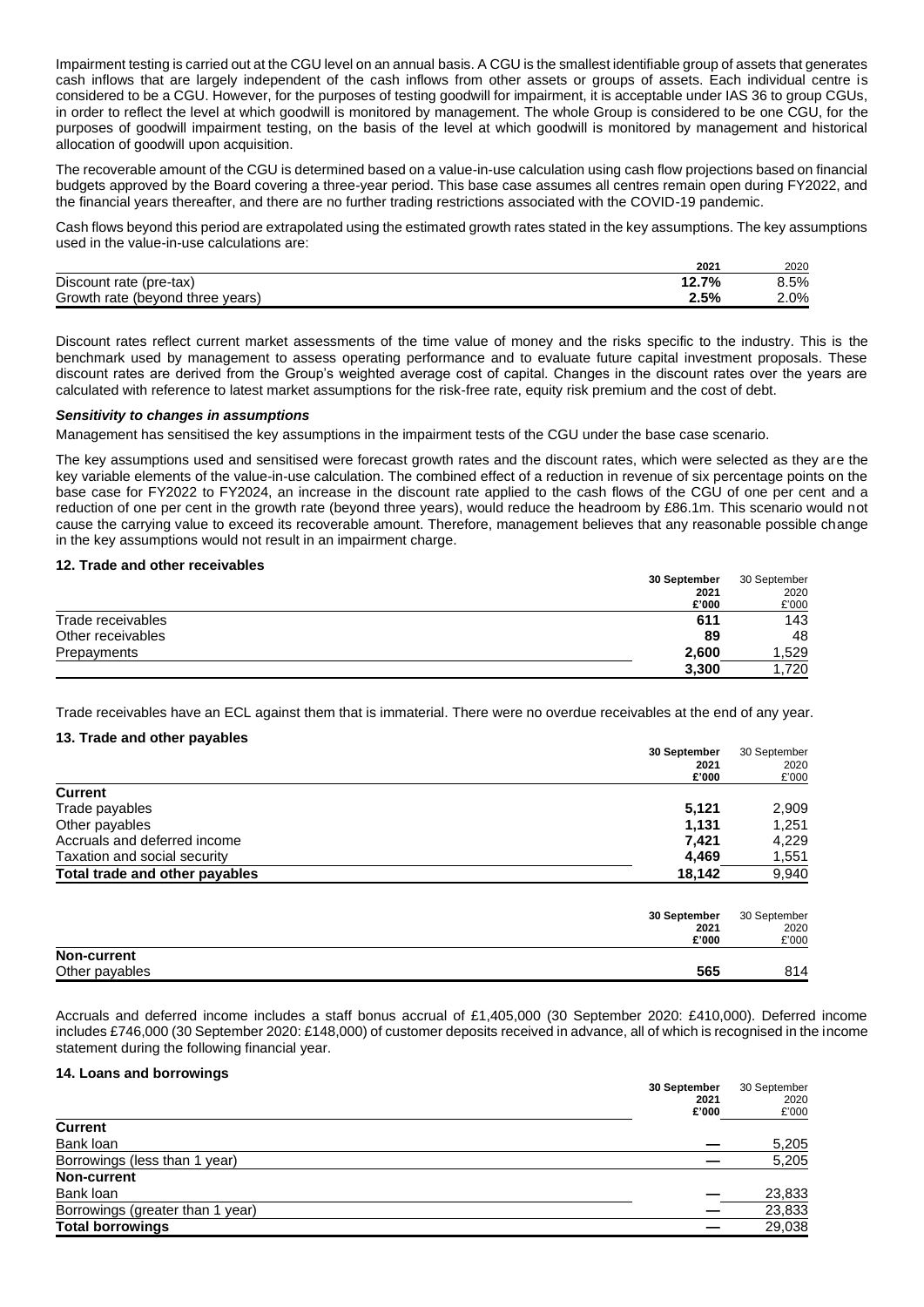Impairment testing is carried out at the CGU level on an annual basis. A CGU is the smallest identifiable group of assets that generates cash inflows that are largely independent of the cash inflows from other assets or groups of assets. Each individual centre is considered to be a CGU. However, for the purposes of testing goodwill for impairment, it is acceptable under IAS 36 to group CGUs, in order to reflect the level at which goodwill is monitored by management. The whole Group is considered to be one CGU, for the purposes of goodwill impairment testing, on the basis of the level at which goodwill is monitored by management and historical allocation of goodwill upon acquisition.

The recoverable amount of the CGU is determined based on a value-in-use calculation using cash flow projections based on financial budgets approved by the Board covering a three-year period. This base case assumes all centres remain open during FY2022, and the financial years thereafter, and there are no further trading restrictions associated with the COVID-19 pandemic.

Cash flows beyond this period are extrapolated using the estimated growth rates stated in the key assumptions. The key assumptions used in the value-in-use calculations are:

|                                  | $202^{\circ}$     | 2020    |
|----------------------------------|-------------------|---------|
| Discount rate (pre-tax)          | 7%<br>40<br>14. I | 8.5%    |
| Growth rate (beyond three years) | 2.5%              | $2.0\%$ |

Discount rates reflect current market assessments of the time value of money and the risks specific to the industry. This is the benchmark used by management to assess operating performance and to evaluate future capital investment proposals. These discount rates are derived from the Group's weighted average cost of capital. Changes in the discount rates over the years are calculated with reference to latest market assumptions for the risk-free rate, equity risk premium and the cost of debt.

## *Sensitivity to changes in assumptions*

Management has sensitised the key assumptions in the impairment tests of the CGU under the base case scenario.

The key assumptions used and sensitised were forecast growth rates and the discount rates, which were selected as they are the key variable elements of the value-in-use calculation. The combined effect of a reduction in revenue of six percentage points on the base case for FY2022 to FY2024, an increase in the discount rate applied to the cash flows of the CGU of one per cent and a reduction of one per cent in the growth rate (beyond three years), would reduce the headroom by £86.1m. This scenario would not cause the carrying value to exceed its recoverable amount. Therefore, management believes that any reasonable possible change in the key assumptions would not result in an impairment charge.

### **12. Trade and other receivables**

|                   | 30 September | 30 September |
|-------------------|--------------|--------------|
|                   | 2021         | 2020         |
|                   | £'000        | £'000        |
| Trade receivables | 611          | 143          |
| Other receivables | 89           | 48           |
| Prepayments       | 2,600        | .529         |
|                   | 3,300        | .720         |

Trade receivables have an ECL against them that is immaterial. There were no overdue receivables at the end of any year.

### **13. Trade and other payables**

|                                | 30 September | 30 September |
|--------------------------------|--------------|--------------|
|                                | 2021         | 2020         |
|                                | £'000        | £'000        |
| <b>Current</b>                 |              |              |
| Trade payables                 | 5,121        | 2,909        |
| Other payables                 | 1,131        | 1,251        |
| Accruals and deferred income   | 7,421        | 4,229        |
| Taxation and social security   | 4,469        | 1,551        |
| Total trade and other payables | 18,142       | 9,940        |
|                                | 30 September | 30 September |
|                                | 2021         | 2020         |
|                                | £'000        | £'000        |
| <b>Non-current</b>             |              |              |

Other payables **565** 814

Accruals and deferred income includes a staff bonus accrual of £1,405,000 (30 September 2020: £410,000). Deferred income includes £746,000 (30 September 2020: £148,000) of customer deposits received in advance, all of which is recognised in the income statement during the following financial year.

#### **14. Loans and borrowings**

|                                  | 30 September | 30 September<br>2020 |
|----------------------------------|--------------|----------------------|
|                                  | 2021         |                      |
|                                  | £'000        | £'000                |
| <b>Current</b>                   |              |                      |
| Bank loan                        |              | 5,205                |
| Borrowings (less than 1 year)    |              | 5,205                |
| <b>Non-current</b>               |              |                      |
| Bank loan                        |              | 23,833               |
| Borrowings (greater than 1 year) |              | 23,833               |
| <b>Total borrowings</b>          |              | 29,038               |
|                                  |              |                      |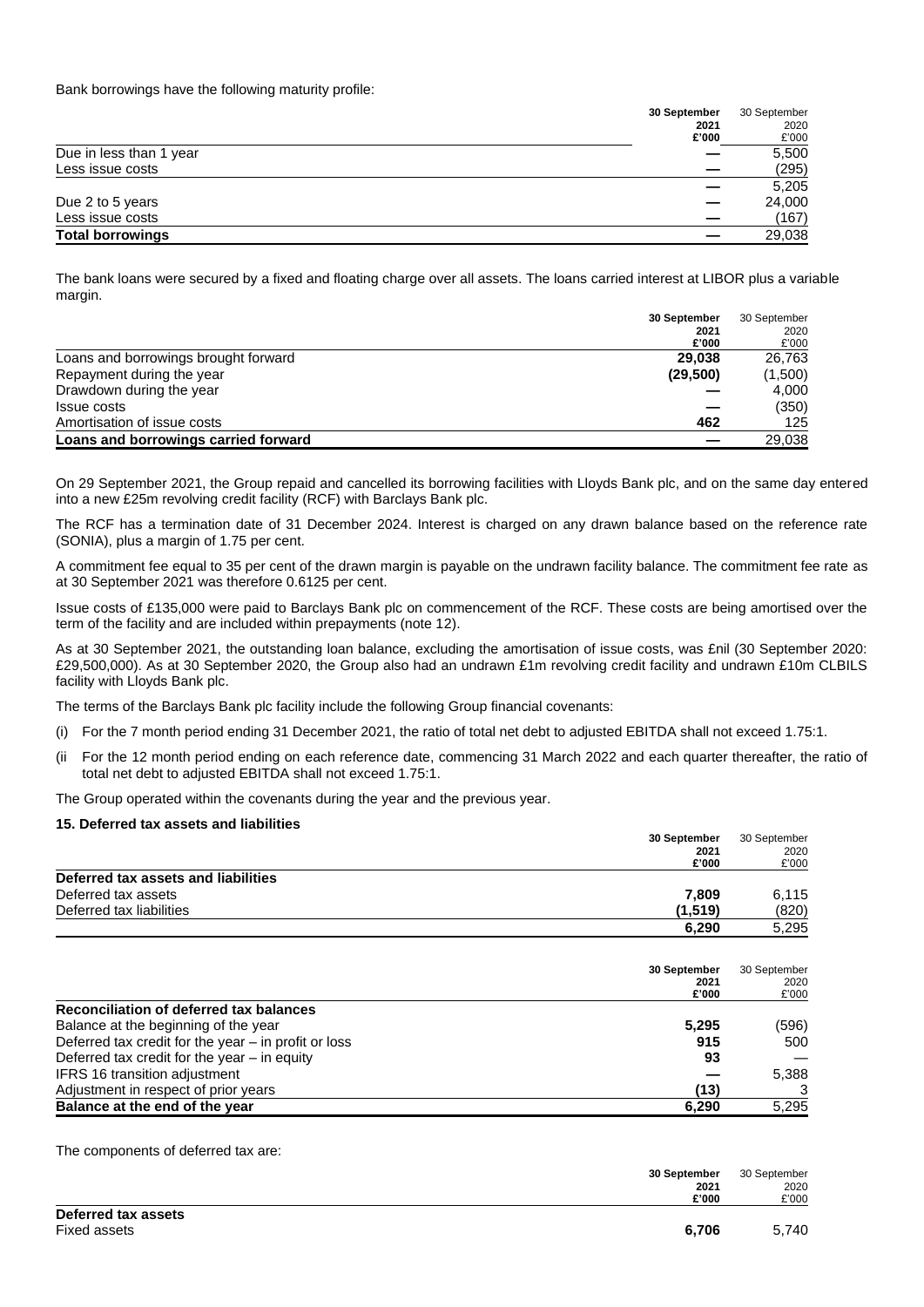Bank borrowings have the following maturity profile:

|                         | 30 September | 30 September |
|-------------------------|--------------|--------------|
|                         | 2021         | 2020         |
|                         | £'000        | £'000        |
| Due in less than 1 year |              | 5,500        |
| Less issue costs        |              | (295)        |
|                         |              | 5,205        |
| Due 2 to 5 years        |              | 24,000       |
| Less issue costs        |              | (167)        |
| <b>Total borrowings</b> |              | 29,038       |

The bank loans were secured by a fixed and floating charge over all assets. The loans carried interest at LIBOR plus a variable margin.

| 30 September                                   | 30 September<br>2020 |
|------------------------------------------------|----------------------|
| 2021                                           |                      |
| £'000                                          | £'000                |
| Loans and borrowings brought forward<br>29.038 | 26,763               |
| Repayment during the year<br>(29,500)          | (1,500)              |
| Drawdown during the year                       | 4,000                |
| Issue costs                                    | (350)                |
| Amortisation of issue costs<br>462             | 125                  |
| Loans and borrowings carried forward           | 29,038               |

On 29 September 2021, the Group repaid and cancelled its borrowing facilities with Lloyds Bank plc, and on the same day entered into a new £25m revolving credit facility (RCF) with Barclays Bank plc.

The RCF has a termination date of 31 December 2024. Interest is charged on any drawn balance based on the reference rate (SONIA), plus a margin of 1.75 per cent.

A commitment fee equal to 35 per cent of the drawn margin is payable on the undrawn facility balance. The commitment fee rate as at 30 September 2021 was therefore 0.6125 per cent.

Issue costs of £135,000 were paid to Barclays Bank plc on commencement of the RCF. These costs are being amortised over the term of the facility and are included within prepayments (note 12).

As at 30 September 2021, the outstanding loan balance, excluding the amortisation of issue costs, was £nil (30 September 2020: £29,500,000). As at 30 September 2020, the Group also had an undrawn £1m revolving credit facility and undrawn £10m CLBILS facility with Lloyds Bank plc.

The terms of the Barclays Bank plc facility include the following Group financial covenants:

- (i) For the 7 month period ending 31 December 2021, the ratio of total net debt to adjusted EBITDA shall not exceed 1.75:1.
- (ii For the 12 month period ending on each reference date, commencing 31 March 2022 and each quarter thereafter, the ratio of total net debt to adjusted EBITDA shall not exceed 1.75:1.

The Group operated within the covenants during the year and the previous year.

# **15. Deferred tax assets and liabilities**

|                                     | 30 September | 30 September |
|-------------------------------------|--------------|--------------|
|                                     | 2021         | 2020         |
|                                     | £'000        | £'000        |
| Deferred tax assets and liabilities |              |              |
| Deferred tax assets                 | 7.809        | 6,115        |
| Deferred tax liabilities            | (1,519)      | (820)        |
|                                     | 6,290        | 5,295        |

|                                                        | 30 September<br>2021<br>£'000 | 30 September<br>2020<br>£'000 |
|--------------------------------------------------------|-------------------------------|-------------------------------|
| Reconciliation of deferred tax balances                |                               |                               |
| Balance at the beginning of the year                   | 5,295                         | (596)                         |
| Deferred tax credit for the year $-$ in profit or loss | 915                           | 500                           |
| Deferred tax credit for the year $-$ in equity         | 93                            |                               |
| <b>IFRS 16 transition adjustment</b>                   |                               | 5,388                         |
| Adjustment in respect of prior years                   | (13)                          | 3                             |
| Balance at the end of the year                         | 6,290                         | 5.295                         |

The components of deferred tax are:

|                     | 30 September | 30 September |
|---------------------|--------------|--------------|
|                     | 2021         | 2020         |
|                     | £'000        | £'000        |
| Deferred tax assets |              |              |
| Fixed assets        | 6.706        | 5.740        |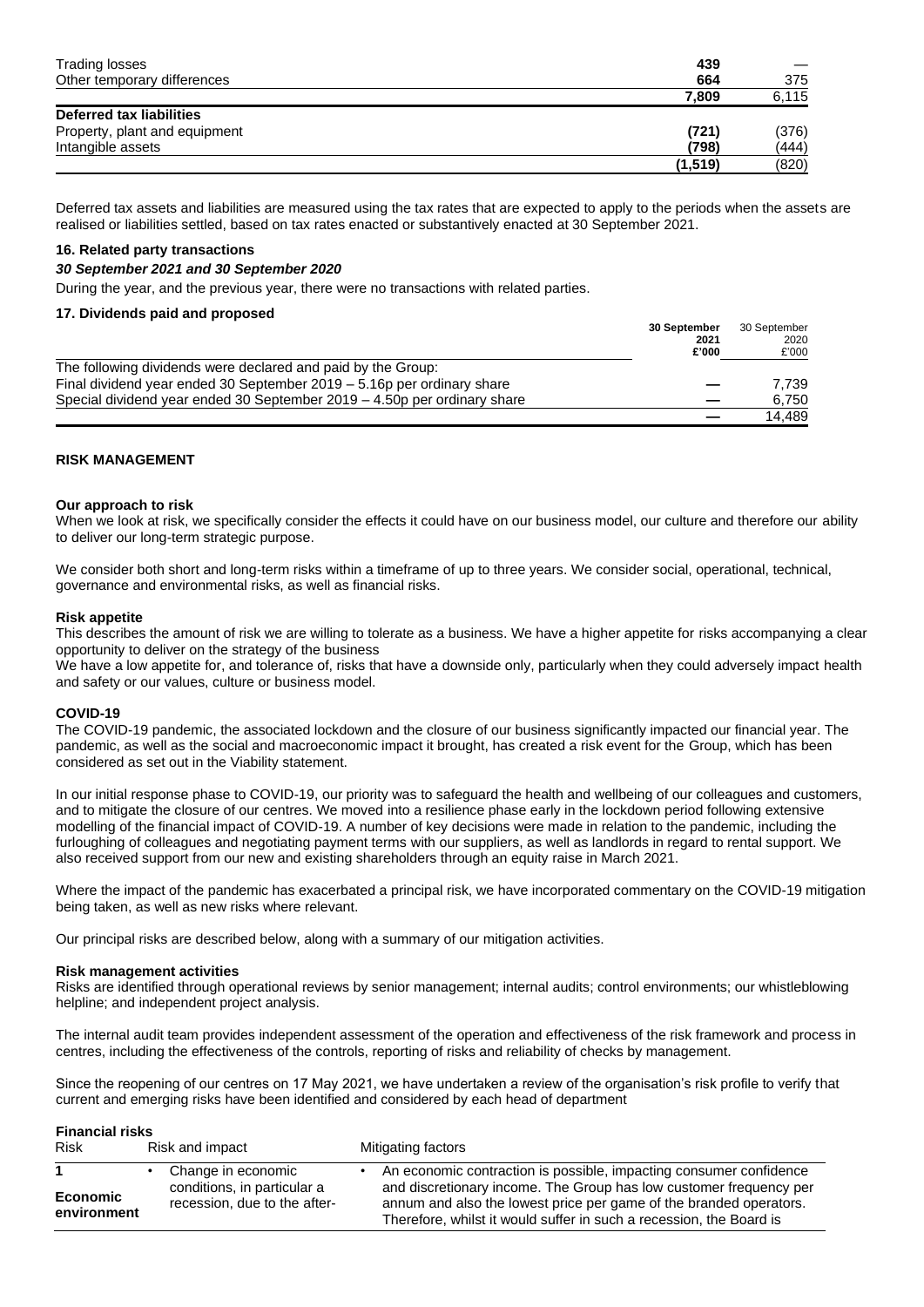| Trading losses                | 439      |       |
|-------------------------------|----------|-------|
| Other temporary differences   | 664      | 375   |
|                               | 7.809    | 6,115 |
| Deferred tax liabilities      |          |       |
| Property, plant and equipment | (721)    | (376) |
| Intangible assets             | (798)    | (444) |
|                               | (1, 519) | (820) |

Deferred tax assets and liabilities are measured using the tax rates that are expected to apply to the periods when the assets are realised or liabilities settled, based on tax rates enacted or substantively enacted at 30 September 2021.

# **16. Related party transactions**

## *30 September 2021 and 30 September 2020*

During the year, and the previous year, there were no transactions with related parties.

## **17. Dividends paid and proposed**

| 30 September                                                               | 30 September |  |
|----------------------------------------------------------------------------|--------------|--|
| 2021                                                                       | 2020         |  |
| £'000                                                                      | £'000        |  |
| The following dividends were declared and paid by the Group:               |              |  |
| Final dividend year ended 30 September 2019 – 5.16p per ordinary share     | 7.739        |  |
| Special dividend year ended 30 September $2019 - 4.50p$ per ordinary share | 6.750        |  |
|                                                                            | 14.489       |  |

## **RISK MANAGEMENT**

## **Our approach to risk**

When we look at risk, we specifically consider the effects it could have on our business model, our culture and therefore our ability to deliver our long-term strategic purpose.

We consider both short and long-term risks within a timeframe of up to three years. We consider social, operational, technical, governance and environmental risks, as well as financial risks.

## **Risk appetite**

This describes the amount of risk we are willing to tolerate as a business. We have a higher appetite for risks accompanying a clear opportunity to deliver on the strategy of the business

We have a low appetite for, and tolerance of, risks that have a downside only, particularly when they could adversely impact health and safety or our values, culture or business model.

## **COVID-19**

The COVID-19 pandemic, the associated lockdown and the closure of our business significantly impacted our financial year. The pandemic, as well as the social and macroeconomic impact it brought, has created a risk event for the Group, which has been considered as set out in the Viability statement.

In our initial response phase to COVID-19, our priority was to safeguard the health and wellbeing of our colleagues and customers, and to mitigate the closure of our centres. We moved into a resilience phase early in the lockdown period following extensive modelling of the financial impact of COVID-19. A number of key decisions were made in relation to the pandemic, including the furloughing of colleagues and negotiating payment terms with our suppliers, as well as landlords in regard to rental support. We also received support from our new and existing shareholders through an equity raise in March 2021.

Where the impact of the pandemic has exacerbated a principal risk, we have incorporated commentary on the COVID-19 mitigation being taken, as well as new risks where relevant.

Our principal risks are described below, along with a summary of our mitigation activities.

## **Risk management activities**

Risks are identified through operational reviews by senior management; internal audits; control environments; our whistleblowing helpline; and independent project analysis.

The internal audit team provides independent assessment of the operation and effectiveness of the risk framework and process in centres, including the effectiveness of the controls, reporting of risks and reliability of checks by management.

Since the reopening of our centres on 17 May 2021, we have undertaken a review of the organisation's risk profile to verify that current and emerging risks have been identified and considered by each head of department

## **Financial risks**

| <b>Risk</b>             | Risk and impact                                             | Mitigating factors                                                                                                                                                                                              |
|-------------------------|-------------------------------------------------------------|-----------------------------------------------------------------------------------------------------------------------------------------------------------------------------------------------------------------|
|                         | Change in economic                                          | An economic contraction is possible, impacting consumer confidence                                                                                                                                              |
| Economic<br>environment | conditions, in particular a<br>recession, due to the after- | and discretionary income. The Group has low customer frequency per<br>annum and also the lowest price per game of the branded operators.<br>Therefore, whilst it would suffer in such a recession, the Board is |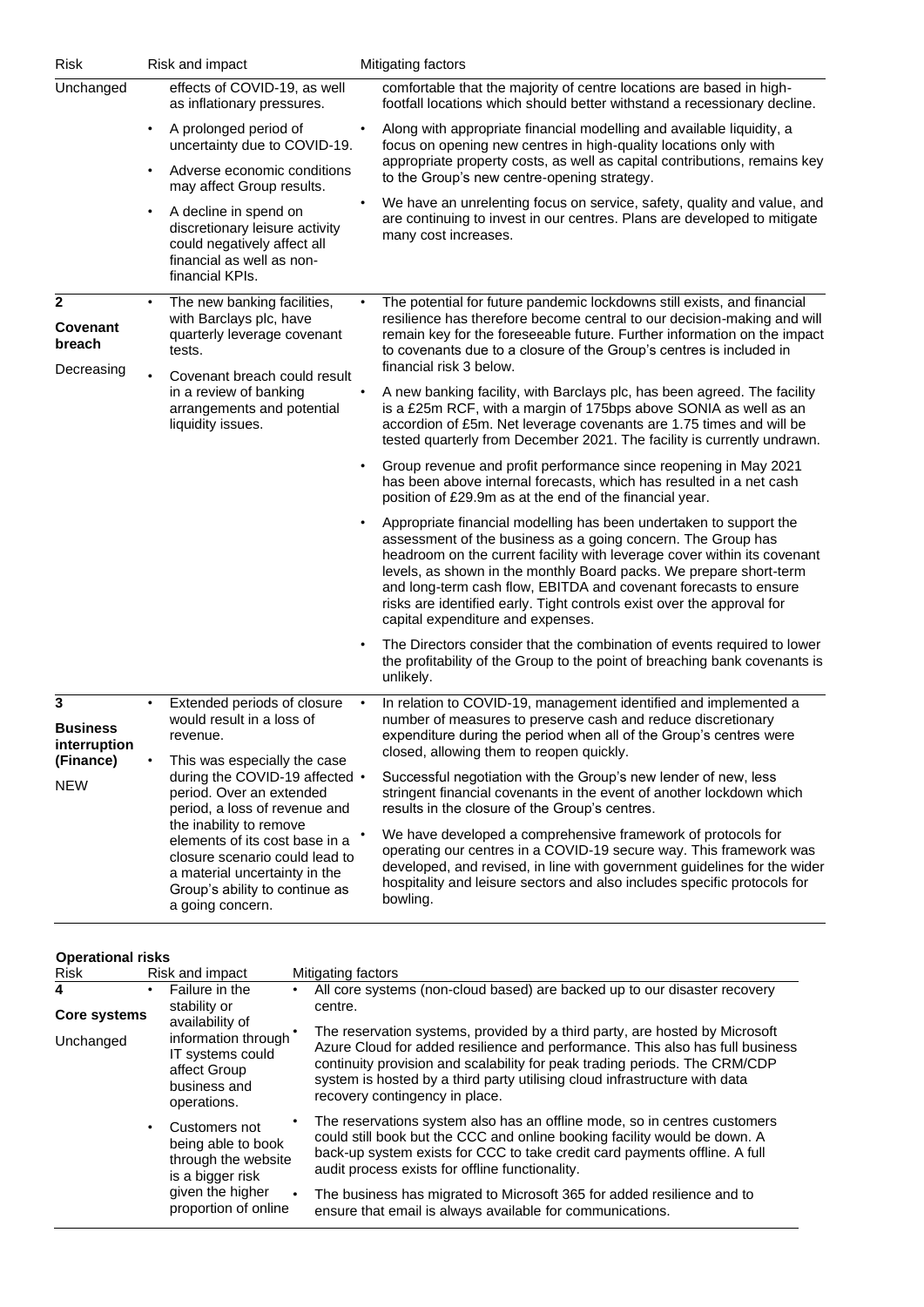| <b>Risk</b>                                                     |           | Risk and impact                                                                                                                                                                                                                                                                                                   |           | Mitigating factors                                                                                                                                                                                                                                                                                                                                                                                                                                                      |
|-----------------------------------------------------------------|-----------|-------------------------------------------------------------------------------------------------------------------------------------------------------------------------------------------------------------------------------------------------------------------------------------------------------------------|-----------|-------------------------------------------------------------------------------------------------------------------------------------------------------------------------------------------------------------------------------------------------------------------------------------------------------------------------------------------------------------------------------------------------------------------------------------------------------------------------|
| Unchanged                                                       |           | effects of COVID-19, as well<br>as inflationary pressures.                                                                                                                                                                                                                                                        |           | comfortable that the majority of centre locations are based in high-<br>footfall locations which should better withstand a recessionary decline.                                                                                                                                                                                                                                                                                                                        |
|                                                                 | $\bullet$ | A prolonged period of<br>uncertainty due to COVID-19.                                                                                                                                                                                                                                                             |           | Along with appropriate financial modelling and available liquidity, a<br>focus on opening new centres in high-quality locations only with<br>appropriate property costs, as well as capital contributions, remains key                                                                                                                                                                                                                                                  |
|                                                                 |           | Adverse economic conditions<br>may affect Group results.                                                                                                                                                                                                                                                          |           | to the Group's new centre-opening strategy.                                                                                                                                                                                                                                                                                                                                                                                                                             |
|                                                                 |           | A decline in spend on<br>discretionary leisure activity<br>could negatively affect all<br>financial as well as non-<br>financial KPIs.                                                                                                                                                                            |           | We have an unrelenting focus on service, safety, quality and value, and<br>are continuing to invest in our centres. Plans are developed to mitigate<br>many cost increases.                                                                                                                                                                                                                                                                                             |
| 2<br>Covenant<br>breach                                         |           | The new banking facilities,<br>with Barclays plc, have<br>quarterly leverage covenant<br>tests.                                                                                                                                                                                                                   |           | The potential for future pandemic lockdowns still exists, and financial<br>resilience has therefore become central to our decision-making and will<br>remain key for the foreseeable future. Further information on the impact<br>to covenants due to a closure of the Group's centres is included in                                                                                                                                                                   |
| Decreasing                                                      |           | Covenant breach could result                                                                                                                                                                                                                                                                                      |           | financial risk 3 below.                                                                                                                                                                                                                                                                                                                                                                                                                                                 |
|                                                                 |           | in a review of banking<br>arrangements and potential<br>liquidity issues.                                                                                                                                                                                                                                         |           | A new banking facility, with Barclays plc, has been agreed. The facility<br>is a £25m RCF, with a margin of 175bps above SONIA as well as an<br>accordion of £5m. Net leverage covenants are 1.75 times and will be<br>tested quarterly from December 2021. The facility is currently undrawn.                                                                                                                                                                          |
|                                                                 |           |                                                                                                                                                                                                                                                                                                                   |           | Group revenue and profit performance since reopening in May 2021<br>has been above internal forecasts, which has resulted in a net cash<br>position of £29.9m as at the end of the financial year.                                                                                                                                                                                                                                                                      |
|                                                                 |           |                                                                                                                                                                                                                                                                                                                   |           | Appropriate financial modelling has been undertaken to support the<br>assessment of the business as a going concern. The Group has<br>headroom on the current facility with leverage cover within its covenant<br>levels, as shown in the monthly Board packs. We prepare short-term<br>and long-term cash flow, EBITDA and covenant forecasts to ensure<br>risks are identified early. Tight controls exist over the approval for<br>capital expenditure and expenses. |
|                                                                 |           |                                                                                                                                                                                                                                                                                                                   |           | The Directors consider that the combination of events required to lower<br>the profitability of the Group to the point of breaching bank covenants is<br>unlikely.                                                                                                                                                                                                                                                                                                      |
| 3<br><b>Business</b><br>interruption<br>(Finance)<br><b>NEW</b> |           | Extended periods of closure<br>would result in a loss of<br>revenue.                                                                                                                                                                                                                                              | $\bullet$ | In relation to COVID-19, management identified and implemented a<br>number of measures to preserve cash and reduce discretionary<br>expenditure during the period when all of the Group's centres were<br>closed, allowing them to reopen quickly.                                                                                                                                                                                                                      |
|                                                                 |           | This was especially the case<br>during the COVID-19 affected •<br>period. Over an extended<br>period, a loss of revenue and<br>the inability to remove<br>elements of its cost base in a<br>closure scenario could lead to<br>a material uncertainty in the<br>Group's ability to continue as<br>a going concern. |           | Successful negotiation with the Group's new lender of new, less<br>stringent financial covenants in the event of another lockdown which<br>results in the closure of the Group's centres.                                                                                                                                                                                                                                                                               |
|                                                                 |           |                                                                                                                                                                                                                                                                                                                   |           | We have developed a comprehensive framework of protocols for<br>operating our centres in a COVID-19 secure way. This framework was<br>developed, and revised, in line with government guidelines for the wider<br>hospitality and leisure sectors and also includes specific protocols for<br>bowling.                                                                                                                                                                  |

**Operational risks** 

Risk Risk and impact Mitigating factors **4 Core systems** Unchanged • Failure in the stability or availability of information through IT systems could affect Group business and operations. Customers not being able to book through the website is a bigger risk given the higher proportion of online • All core systems (non-cloud based) are backed up to our disaster recovery centre. The reservation systems, provided by a third party, are hosted by Microsoft Azure Cloud for added resilience and performance. This also has full business continuity provision and scalability for peak trading periods. The CRM/CDP system is hosted by a third party utilising cloud infrastructure with data recovery contingency in place. The reservations system also has an offline mode, so in centres customers could still book but the CCC and online booking facility would be down. A back-up system exists for CCC to take credit card payments offline. A full audit process exists for offline functionality. The business has migrated to Microsoft 365 for added resilience and to ensure that email is always available for communications.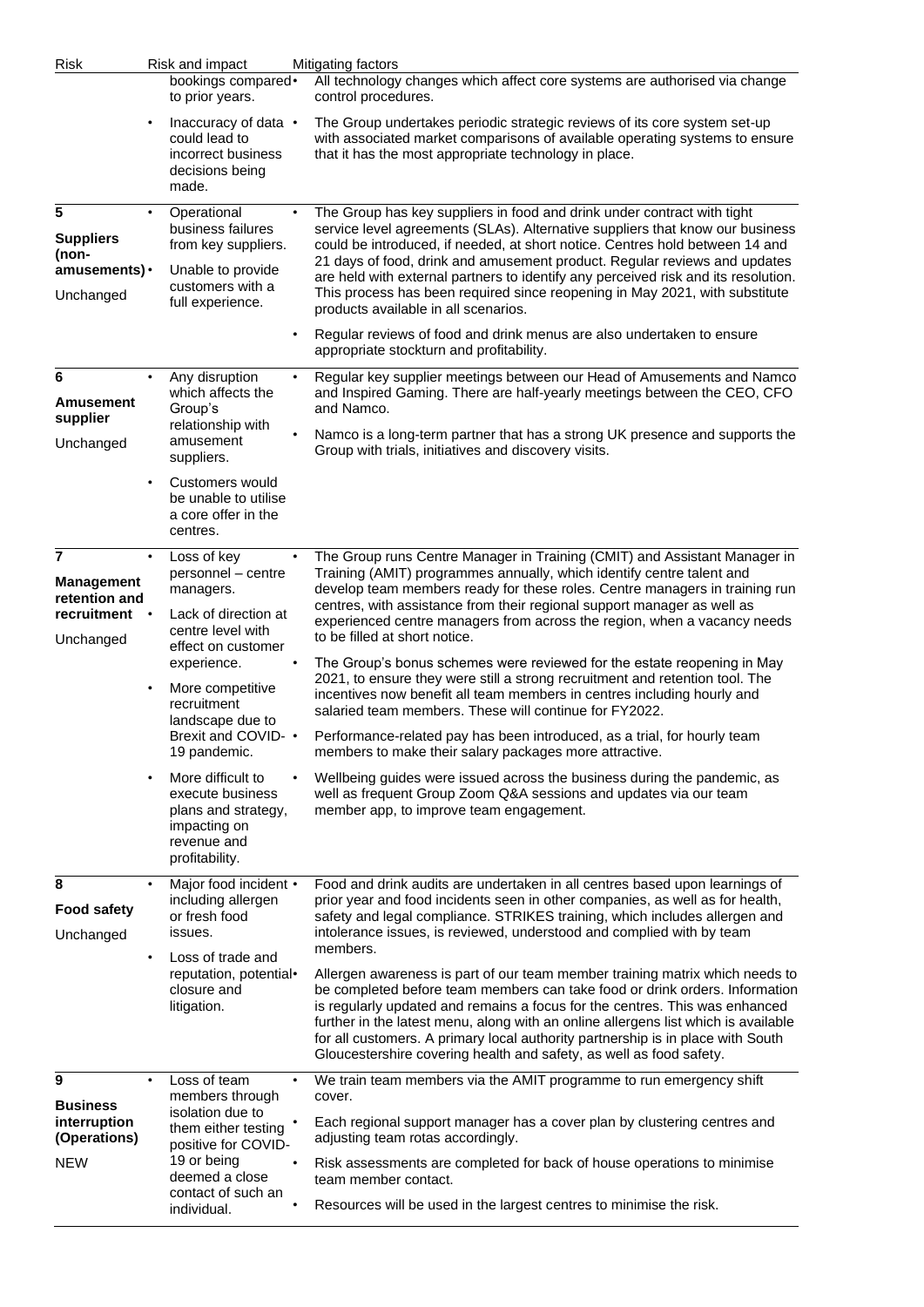| Risk                                                                                                       |                                                                                      | Risk and impact                                                                                                                                              |                                                                                                                                                                                                                                                                                                                                 | Mitigating factors                                                                                                                                                                                                                                                                                                                                                                                                                                                                                                                                               |
|------------------------------------------------------------------------------------------------------------|--------------------------------------------------------------------------------------|--------------------------------------------------------------------------------------------------------------------------------------------------------------|---------------------------------------------------------------------------------------------------------------------------------------------------------------------------------------------------------------------------------------------------------------------------------------------------------------------------------|------------------------------------------------------------------------------------------------------------------------------------------------------------------------------------------------------------------------------------------------------------------------------------------------------------------------------------------------------------------------------------------------------------------------------------------------------------------------------------------------------------------------------------------------------------------|
|                                                                                                            |                                                                                      | bookings compared•<br>to prior years.                                                                                                                        |                                                                                                                                                                                                                                                                                                                                 | All technology changes which affect core systems are authorised via change<br>control procedures.                                                                                                                                                                                                                                                                                                                                                                                                                                                                |
|                                                                                                            | $\bullet$                                                                            | Inaccuracy of data $\cdot$<br>could lead to<br>incorrect business<br>decisions being<br>made.                                                                |                                                                                                                                                                                                                                                                                                                                 | The Group undertakes periodic strategic reviews of its core system set-up<br>with associated market comparisons of available operating systems to ensure<br>that it has the most appropriate technology in place.                                                                                                                                                                                                                                                                                                                                                |
| 5<br><b>Suppliers</b><br>(non-<br>amusements) •<br>Unchanged                                               |                                                                                      | Operational<br>business failures<br>from key suppliers.<br>Unable to provide<br>customers with a<br>full experience.                                         |                                                                                                                                                                                                                                                                                                                                 | The Group has key suppliers in food and drink under contract with tight<br>service level agreements (SLAs). Alternative suppliers that know our business<br>could be introduced, if needed, at short notice. Centres hold between 14 and<br>21 days of food, drink and amusement product. Regular reviews and updates<br>are held with external partners to identify any perceived risk and its resolution.<br>This process has been required since reopening in May 2021, with substitute<br>products available in all scenarios.                               |
|                                                                                                            |                                                                                      |                                                                                                                                                              |                                                                                                                                                                                                                                                                                                                                 | Regular reviews of food and drink menus are also undertaken to ensure<br>appropriate stockturn and profitability.                                                                                                                                                                                                                                                                                                                                                                                                                                                |
| 6<br><b>Amusement</b><br>supplier<br>Unchanged                                                             |                                                                                      | Any disruption<br>which affects the<br>Group's<br>relationship with<br>amusement<br>suppliers.                                                               | ٠                                                                                                                                                                                                                                                                                                                               | Regular key supplier meetings between our Head of Amusements and Namco<br>and Inspired Gaming. There are half-yearly meetings between the CEO, CFO<br>and Namco.<br>Namco is a long-term partner that has a strong UK presence and supports the<br>Group with trials, initiatives and discovery visits.                                                                                                                                                                                                                                                          |
|                                                                                                            | $\bullet$                                                                            | Customers would<br>be unable to utilise<br>a core offer in the<br>centres.                                                                                   |                                                                                                                                                                                                                                                                                                                                 |                                                                                                                                                                                                                                                                                                                                                                                                                                                                                                                                                                  |
| 7<br>$\bullet$<br><b>Management</b><br>retention and<br>recruitment<br>Unchanged<br>$\bullet$<br>$\bullet$ | Loss of key<br>personnel - centre<br>managers.                                       |                                                                                                                                                              | The Group runs Centre Manager in Training (CMIT) and Assistant Manager in<br>Training (AMIT) programmes annually, which identify centre talent and<br>develop team members ready for these roles. Centre managers in training run                                                                                               |                                                                                                                                                                                                                                                                                                                                                                                                                                                                                                                                                                  |
|                                                                                                            |                                                                                      | Lack of direction at<br>centre level with<br>effect on customer<br>experience.<br>More competitive<br>recruitment<br>landscape due to<br>Brexit and COVID- • |                                                                                                                                                                                                                                                                                                                                 | centres, with assistance from their regional support manager as well as<br>experienced centre managers from across the region, when a vacancy needs<br>to be filled at short notice.<br>The Group's bonus schemes were reviewed for the estate reopening in May<br>2021, to ensure they were still a strong recruitment and retention tool. The<br>incentives now benefit all team members in centres including hourly and<br>salaried team members. These will continue for FY2022.<br>Performance-related pay has been introduced, as a trial, for hourly team |
|                                                                                                            |                                                                                      | 19 pandemic.<br>More difficult to<br>execute business<br>plans and strategy,<br>impacting on<br>revenue and<br>profitability.                                |                                                                                                                                                                                                                                                                                                                                 | members to make their salary packages more attractive.<br>Wellbeing guides were issued across the business during the pandemic, as<br>well as frequent Group Zoom Q&A sessions and updates via our team<br>member app, to improve team engagement.                                                                                                                                                                                                                                                                                                               |
| 8<br><b>Food safety</b><br>Unchanged                                                                       | Major food incident •<br>$\bullet$<br>including allergen<br>or fresh food<br>issues. |                                                                                                                                                              | Food and drink audits are undertaken in all centres based upon learnings of<br>prior year and food incidents seen in other companies, as well as for health,<br>safety and legal compliance. STRIKES training, which includes allergen and<br>intolerance issues, is reviewed, understood and complied with by team<br>members. |                                                                                                                                                                                                                                                                                                                                                                                                                                                                                                                                                                  |
|                                                                                                            | ٠                                                                                    | Loss of trade and<br>reputation, potential•<br>closure and<br>litigation.                                                                                    |                                                                                                                                                                                                                                                                                                                                 | Allergen awareness is part of our team member training matrix which needs to<br>be completed before team members can take food or drink orders. Information<br>is regularly updated and remains a focus for the centres. This was enhanced<br>further in the latest menu, along with an online allergens list which is available<br>for all customers. A primary local authority partnership is in place with South<br>Gloucestershire covering health and safety, as well as food safety.                                                                       |
| 9                                                                                                          | $\bullet$                                                                            | Loss of team<br>members through<br>isolation due to<br>them either testing<br>positive for COVID-<br>19 or being<br>deemed a close                           | $\bullet$                                                                                                                                                                                                                                                                                                                       | We train team members via the AMIT programme to run emergency shift<br>cover.                                                                                                                                                                                                                                                                                                                                                                                                                                                                                    |
| <b>Business</b><br>interruption<br>(Operations)<br><b>NEW</b>                                              |                                                                                      |                                                                                                                                                              |                                                                                                                                                                                                                                                                                                                                 | Each regional support manager has a cover plan by clustering centres and<br>adjusting team rotas accordingly.                                                                                                                                                                                                                                                                                                                                                                                                                                                    |
|                                                                                                            |                                                                                      |                                                                                                                                                              |                                                                                                                                                                                                                                                                                                                                 | Risk assessments are completed for back of house operations to minimise<br>team member contact.                                                                                                                                                                                                                                                                                                                                                                                                                                                                  |
|                                                                                                            |                                                                                      | contact of such an<br>individual.                                                                                                                            |                                                                                                                                                                                                                                                                                                                                 | Resources will be used in the largest centres to minimise the risk.                                                                                                                                                                                                                                                                                                                                                                                                                                                                                              |